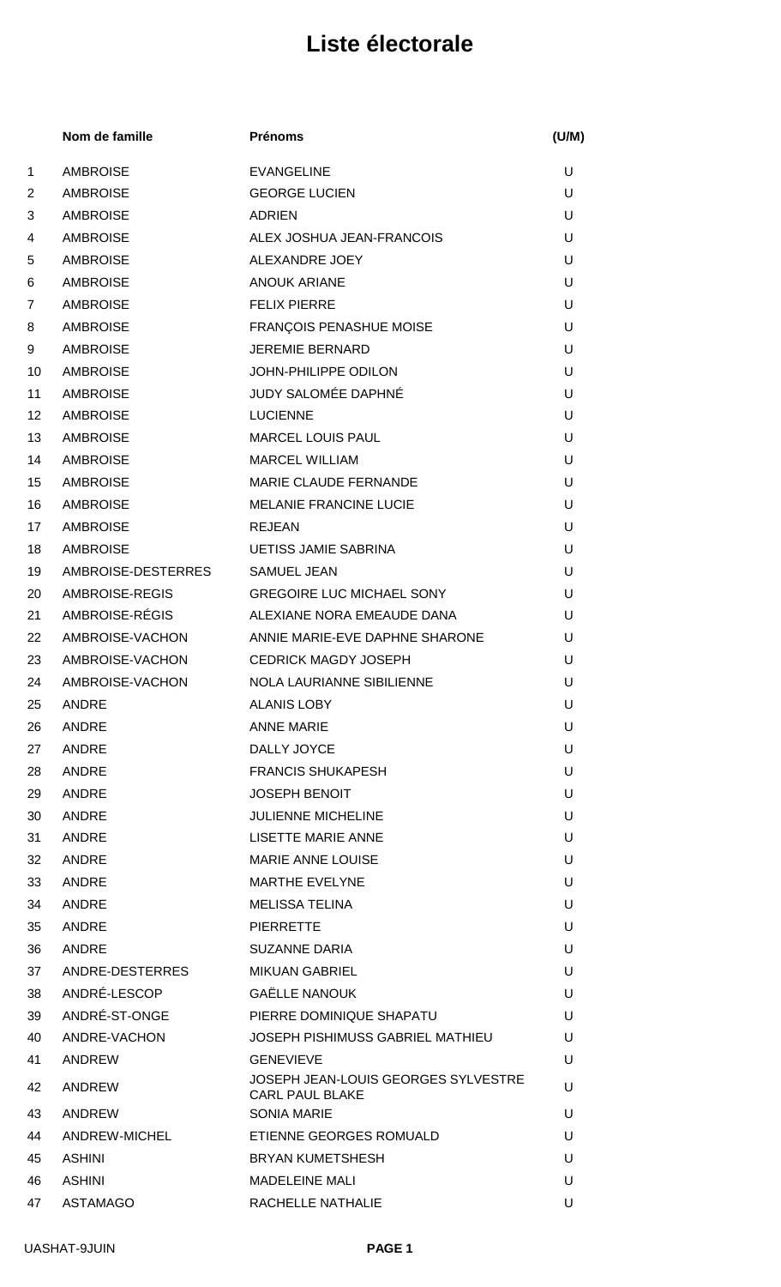|    | Nom de famille     | <b>Prénoms</b>                                                       | (U/M) |
|----|--------------------|----------------------------------------------------------------------|-------|
| 1  | <b>AMBROISE</b>    | <b>EVANGELINE</b>                                                    | U     |
| 2  | <b>AMBROISE</b>    | <b>GEORGE LUCIEN</b>                                                 | U     |
| 3  | <b>AMBROISE</b>    | <b>ADRIEN</b>                                                        | U     |
| 4  | <b>AMBROISE</b>    | ALEX JOSHUA JEAN-FRANCOIS                                            | U     |
| 5  | <b>AMBROISE</b>    | ALEXANDRE JOEY                                                       | U     |
| 6  | <b>AMBROISE</b>    | <b>ANOUK ARIANE</b>                                                  | U     |
| 7  | <b>AMBROISE</b>    | <b>FELIX PIERRE</b>                                                  | U     |
| 8  | <b>AMBROISE</b>    | FRANÇOIS PENASHUE MOISE                                              | U     |
| 9  | <b>AMBROISE</b>    | <b>JEREMIE BERNARD</b>                                               | U     |
| 10 | <b>AMBROISE</b>    | JOHN-PHILIPPE ODILON                                                 | U     |
| 11 | <b>AMBROISE</b>    | JUDY SALOMÉE DAPHNÉ                                                  | U     |
| 12 | <b>AMBROISE</b>    | <b>LUCIENNE</b>                                                      | U     |
| 13 | <b>AMBROISE</b>    | <b>MARCEL LOUIS PAUL</b>                                             | U     |
| 14 | <b>AMBROISE</b>    | <b>MARCEL WILLIAM</b>                                                | U     |
| 15 | <b>AMBROISE</b>    | MARIE CLAUDE FERNANDE                                                | U     |
| 16 | <b>AMBROISE</b>    | <b>MELANIE FRANCINE LUCIE</b>                                        | U     |
| 17 | <b>AMBROISE</b>    | <b>REJEAN</b>                                                        | U     |
| 18 | <b>AMBROISE</b>    | <b>UETISS JAMIE SABRINA</b>                                          | U     |
| 19 | AMBROISE-DESTERRES | <b>SAMUEL JEAN</b>                                                   | U     |
| 20 | AMBROISE-REGIS     | <b>GREGOIRE LUC MICHAEL SONY</b>                                     | U     |
| 21 | AMBROISE-RÉGIS     | ALEXIANE NORA EMEAUDE DANA                                           | U     |
| 22 | AMBROISE-VACHON    | ANNIE MARIE-EVE DAPHNE SHARONE                                       | U     |
| 23 | AMBROISE-VACHON    | <b>CEDRICK MAGDY JOSEPH</b>                                          | U     |
| 24 | AMBROISE-VACHON    | <b>NOLA LAURIANNE SIBILIENNE</b>                                     | U     |
| 25 | <b>ANDRE</b>       | <b>ALANIS LOBY</b>                                                   | U     |
| 26 | ANDRE              | <b>ANNE MARIE</b>                                                    | U     |
| 27 | ANDRE              | DALLY JOYCE                                                          | U     |
| 28 | ANDRE              | <b>FRANCIS SHUKAPESH</b>                                             | U     |
| 29 | ANDRE              | <b>JOSEPH BENOIT</b>                                                 | U     |
| 30 | ANDRE              | <b>JULIENNE MICHELINE</b>                                            | U     |
| 31 | ANDRE              | LISETTE MARIE ANNE                                                   | U     |
| 32 | ANDRE              | <b>MARIE ANNE LOUISE</b>                                             | U     |
| 33 | ANDRE              | <b>MARTHE EVELYNE</b>                                                | U     |
| 34 | <b>ANDRE</b>       | <b>MELISSA TELINA</b>                                                | U     |
| 35 | ANDRE              | <b>PIERRETTE</b>                                                     | U     |
| 36 | ANDRE              | <b>SUZANNE DARIA</b>                                                 | U     |
| 37 | ANDRE-DESTERRES    | <b>MIKUAN GABRIEL</b>                                                | U     |
| 38 | ANDRÉ-LESCOP       | <b>GAËLLE NANOUK</b>                                                 | U     |
| 39 | ANDRÉ-ST-ONGE      | PIERRE DOMINIQUE SHAPATU                                             | U     |
| 40 | ANDRE-VACHON       | JOSEPH PISHIMUSS GABRIEL MATHIEU                                     | U     |
| 41 | ANDREW             | <b>GENEVIEVE</b>                                                     | U     |
| 42 | ANDREW             | <b>JOSEPH JEAN-LOUIS GEORGES SYLVESTRE</b><br><b>CARL PAUL BLAKE</b> | U     |
| 43 | ANDREW             | <b>SONIA MARIE</b>                                                   | U     |
| 44 | ANDREW-MICHEL      | ETIENNE GEORGES ROMUALD                                              | U     |
| 45 | <b>ASHINI</b>      | <b>BRYAN KUMETSHESH</b>                                              | U     |
| 46 | <b>ASHINI</b>      | <b>MADELEINE MALI</b>                                                | U     |
| 47 | <b>ASTAMAGO</b>    | RACHELLE NATHALIE                                                    | U     |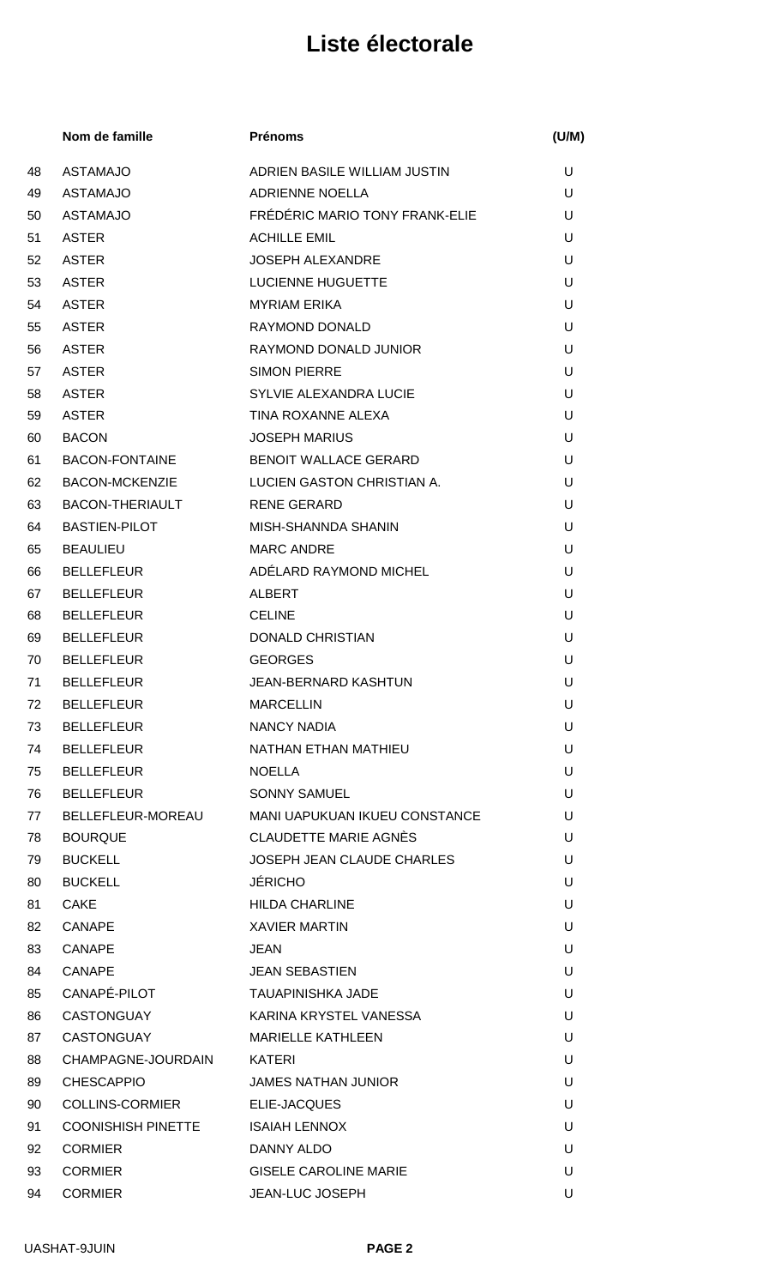|    | Nom de famille            | <b>Prénoms</b>                    | (U/M) |
|----|---------------------------|-----------------------------------|-------|
| 48 | <b>ASTAMAJO</b>           | ADRIEN BASILE WILLIAM JUSTIN      | U     |
| 49 | <b>ASTAMAJO</b>           | <b>ADRIENNE NOELLA</b>            | U     |
| 50 | <b>ASTAMAJO</b>           | FRÉDÉRIC MARIO TONY FRANK-ELIE    | U     |
| 51 | <b>ASTER</b>              | <b>ACHILLE EMIL</b>               | U     |
| 52 | <b>ASTER</b>              | <b>JOSEPH ALEXANDRE</b>           | U     |
| 53 | <b>ASTER</b>              | LUCIENNE HUGUETTE                 | U     |
| 54 | <b>ASTER</b>              | <b>MYRIAM ERIKA</b>               | U     |
| 55 | <b>ASTER</b>              | RAYMOND DONALD                    | U     |
| 56 | <b>ASTER</b>              | RAYMOND DONALD JUNIOR             | U     |
| 57 | <b>ASTER</b>              | <b>SIMON PIERRE</b>               | U     |
| 58 | <b>ASTER</b>              | SYLVIE ALEXANDRA LUCIE            | U     |
| 59 | <b>ASTER</b>              | TINA ROXANNE ALEXA                | U     |
| 60 | <b>BACON</b>              | <b>JOSEPH MARIUS</b>              | U     |
| 61 | <b>BACON-FONTAINE</b>     | <b>BENOIT WALLACE GERARD</b>      | U     |
| 62 | <b>BACON-MCKENZIE</b>     | <b>LUCIEN GASTON CHRISTIAN A.</b> | U     |
| 63 | <b>BACON-THERIAULT</b>    | <b>RENE GERARD</b>                | U     |
| 64 | <b>BASTIEN-PILOT</b>      | <b>MISH-SHANNDA SHANIN</b>        | U     |
| 65 | <b>BEAULIEU</b>           | <b>MARC ANDRE</b>                 | U     |
| 66 | <b>BELLEFLEUR</b>         | ADÉLARD RAYMOND MICHEL            | U     |
| 67 | <b>BELLEFLEUR</b>         | <b>ALBERT</b>                     | U     |
| 68 | <b>BELLEFLEUR</b>         | <b>CELINE</b>                     | U     |
| 69 | <b>BELLEFLEUR</b>         | <b>DONALD CHRISTIAN</b>           | U     |
| 70 | <b>BELLEFLEUR</b>         | <b>GEORGES</b>                    | U     |
| 71 | <b>BELLEFLEUR</b>         | <b>JEAN-BERNARD KASHTUN</b>       | U     |
| 72 | <b>BELLEFLEUR</b>         | <b>MARCELLIN</b>                  | U     |
| 73 | <b>BELLEFLEUR</b>         | <b>NANCY NADIA</b>                | U     |
| 74 | <b>BELLEFLEUR</b>         | NATHAN ETHAN MATHIEU              | U     |
| 75 | <b>BELLEFLEUR</b>         | <b>NOELLA</b>                     | U     |
| 76 | <b>BELLEFLEUR</b>         | <b>SONNY SAMUEL</b>               | U     |
| 77 | BELLEFLEUR-MOREAU         | MANI UAPUKUAN IKUEU CONSTANCE     | U     |
| 78 | <b>BOURQUE</b>            | <b>CLAUDETTE MARIE AGNÈS</b>      | U     |
| 79 | <b>BUCKELL</b>            | JOSEPH JEAN CLAUDE CHARLES        | U     |
| 80 | <b>BUCKELL</b>            | <b>JÉRICHO</b>                    | U     |
| 81 | <b>CAKE</b>               | <b>HILDA CHARLINE</b>             | U     |
| 82 | <b>CANAPE</b>             | <b>XAVIER MARTIN</b>              | U     |
| 83 | <b>CANAPE</b>             | <b>JEAN</b>                       | U     |
| 84 | <b>CANAPE</b>             | <b>JEAN SEBASTIEN</b>             | U     |
| 85 | CANAPÉ-PILOT              | <b>TAUAPINISHKA JADE</b>          | U     |
| 86 | <b>CASTONGUAY</b>         | KARINA KRYSTEL VANESSA            | U     |
| 87 | <b>CASTONGUAY</b>         | <b>MARIELLE KATHLEEN</b>          | U     |
| 88 | CHAMPAGNE-JOURDAIN        | KATERI                            | U     |
| 89 | <b>CHESCAPPIO</b>         | <b>JAMES NATHAN JUNIOR</b>        | U     |
| 90 | <b>COLLINS-CORMIER</b>    | ELIE-JACQUES                      | U     |
| 91 | <b>COONISHISH PINETTE</b> | <b>ISAIAH LENNOX</b>              | U     |
| 92 | <b>CORMIER</b>            | DANNY ALDO                        | U     |
| 93 | <b>CORMIER</b>            | <b>GISELE CAROLINE MARIE</b>      | U     |
| 94 | <b>CORMIER</b>            | JEAN-LUC JOSEPH                   | U     |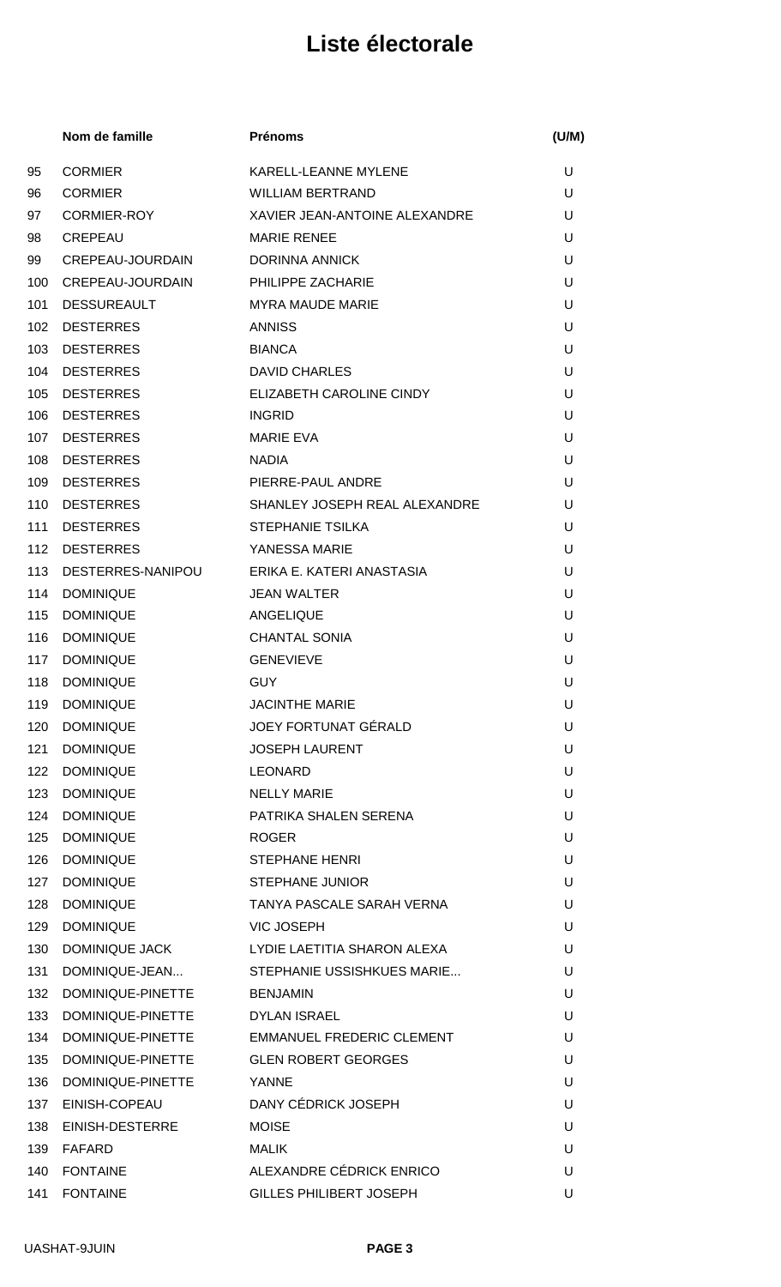|     | Nom de famille        | <b>Prénoms</b>                   | (U/M) |
|-----|-----------------------|----------------------------------|-------|
| 95  | <b>CORMIER</b>        | KARELL-LEANNE MYLENE             | U     |
| 96  | <b>CORMIER</b>        | <b>WILLIAM BERTRAND</b>          | U     |
| 97  | <b>CORMIER-ROY</b>    | XAVIER JEAN-ANTOINE ALEXANDRE    | U     |
| 98  | <b>CREPEAU</b>        | <b>MARIE RENEE</b>               | U     |
| 99  | CREPEAU-JOURDAIN      | <b>DORINNA ANNICK</b>            | U     |
| 100 | CREPEAU-JOURDAIN      | PHILIPPE ZACHARIE                | U     |
| 101 | <b>DESSUREAULT</b>    | <b>MYRA MAUDE MARIE</b>          | U     |
| 102 | <b>DESTERRES</b>      | <b>ANNISS</b>                    | U     |
| 103 | <b>DESTERRES</b>      | <b>BIANCA</b>                    | U     |
| 104 | <b>DESTERRES</b>      | <b>DAVID CHARLES</b>             | U     |
| 105 | <b>DESTERRES</b>      | ELIZABETH CAROLINE CINDY         | U     |
| 106 | <b>DESTERRES</b>      | <b>INGRID</b>                    | U     |
| 107 | <b>DESTERRES</b>      | <b>MARIE EVA</b>                 | U     |
| 108 | <b>DESTERRES</b>      | <b>NADIA</b>                     | U     |
| 109 | <b>DESTERRES</b>      | PIERRE-PAUL ANDRE                | U     |
| 110 | <b>DESTERRES</b>      | SHANLEY JOSEPH REAL ALEXANDRE    | U     |
| 111 | <b>DESTERRES</b>      | <b>STEPHANIE TSILKA</b>          | U     |
| 112 | <b>DESTERRES</b>      | YANESSA MARIE                    | U     |
| 113 | DESTERRES-NANIPOU     | ERIKA E. KATERI ANASTASIA        | U     |
| 114 | <b>DOMINIQUE</b>      | <b>JEAN WALTER</b>               | U     |
| 115 | <b>DOMINIQUE</b>      | ANGELIQUE                        | U     |
| 116 | <b>DOMINIQUE</b>      | <b>CHANTAL SONIA</b>             | U     |
| 117 | <b>DOMINIQUE</b>      | <b>GENEVIEVE</b>                 | U     |
| 118 | <b>DOMINIQUE</b>      | <b>GUY</b>                       | U     |
| 119 | <b>DOMINIQUE</b>      | <b>JACINTHE MARIE</b>            | U     |
| 120 | <b>DOMINIQUE</b>      | JOEY FORTUNAT GÉRALD             | U     |
| 121 | <b>DOMINIQUE</b>      | <b>JOSEPH LAURENT</b>            | U     |
| 122 | <b>DOMINIQUE</b>      | <b>LEONARD</b>                   | U     |
| 123 | <b>DOMINIQUE</b>      | <b>NELLY MARIE</b>               | U     |
| 124 | <b>DOMINIQUE</b>      | PATRIKA SHALEN SERENA            | U     |
| 125 | <b>DOMINIQUE</b>      | <b>ROGER</b>                     | U     |
| 126 | <b>DOMINIQUE</b>      | <b>STEPHANE HENRI</b>            | U     |
| 127 | <b>DOMINIQUE</b>      | <b>STEPHANE JUNIOR</b>           | U     |
| 128 | <b>DOMINIQUE</b>      | TANYA PASCALE SARAH VERNA        | U     |
| 129 | <b>DOMINIQUE</b>      | <b>VIC JOSEPH</b>                | U     |
| 130 | <b>DOMINIQUE JACK</b> | LYDIE LAETITIA SHARON ALEXA      | U     |
| 131 | DOMINIQUE-JEAN        | STEPHANIE USSISHKUES MARIE       | U     |
| 132 | DOMINIQUE-PINETTE     | <b>BENJAMIN</b>                  | U     |
| 133 | DOMINIQUE-PINETTE     | <b>DYLAN ISRAEL</b>              | U     |
| 134 | DOMINIQUE-PINETTE     | <b>EMMANUEL FREDERIC CLEMENT</b> | U     |
| 135 | DOMINIQUE-PINETTE     | <b>GLEN ROBERT GEORGES</b>       | U     |
| 136 | DOMINIQUE-PINETTE     | <b>YANNE</b>                     | U     |
| 137 | EINISH-COPEAU         | DANY CÉDRICK JOSEPH              | U     |
| 138 | EINISH-DESTERRE       | <b>MOISE</b>                     | U     |
| 139 | FAFARD                | <b>MALIK</b>                     | U     |
| 140 | <b>FONTAINE</b>       | ALEXANDRE CÉDRICK ENRICO         | U     |
| 141 | <b>FONTAINE</b>       | <b>GILLES PHILIBERT JOSEPH</b>   | U     |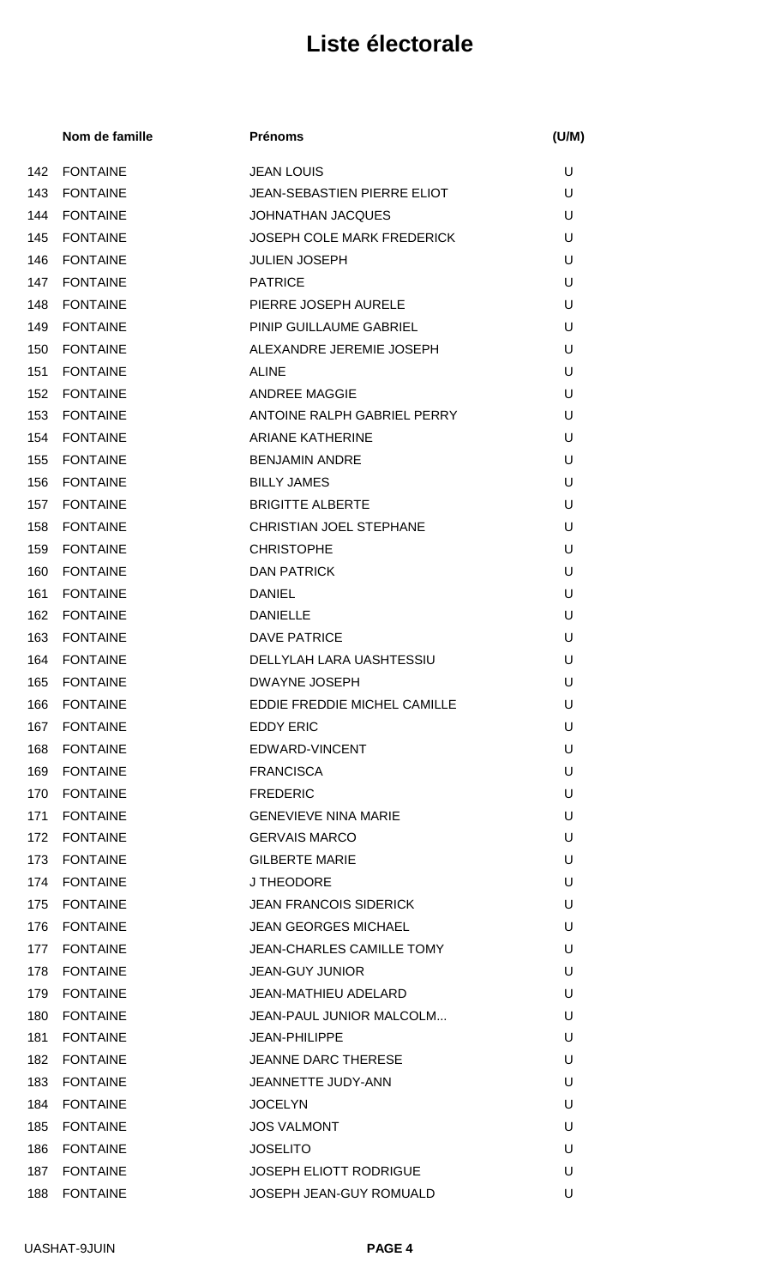|     | Nom de famille  | <b>Prénoms</b>                    | (U/M) |
|-----|-----------------|-----------------------------------|-------|
| 142 | <b>FONTAINE</b> | <b>JEAN LOUIS</b>                 | U     |
| 143 | <b>FONTAINE</b> | JEAN-SEBASTIEN PIERRE ELIOT       | U     |
| 144 | <b>FONTAINE</b> | <b>JOHNATHAN JACQUES</b>          | U     |
| 145 | <b>FONTAINE</b> | <b>JOSEPH COLE MARK FREDERICK</b> | U     |
| 146 | <b>FONTAINE</b> | <b>JULIEN JOSEPH</b>              | U     |
| 147 | <b>FONTAINE</b> | <b>PATRICE</b>                    | U     |
| 148 | <b>FONTAINE</b> | PIERRE JOSEPH AURELE              | U     |
| 149 | <b>FONTAINE</b> | PINIP GUILLAUME GABRIEL           | U     |
| 150 | <b>FONTAINE</b> | ALEXANDRE JEREMIE JOSEPH          | U     |
| 151 | <b>FONTAINE</b> | <b>ALINE</b>                      | U     |
| 152 | <b>FONTAINE</b> | <b>ANDREE MAGGIE</b>              | U     |
| 153 | <b>FONTAINE</b> | ANTOINE RALPH GABRIEL PERRY       | U     |
| 154 | <b>FONTAINE</b> | <b>ARIANE KATHERINE</b>           | U     |
| 155 | <b>FONTAINE</b> | <b>BENJAMIN ANDRE</b>             | U     |
| 156 | <b>FONTAINE</b> | <b>BILLY JAMES</b>                | U     |
| 157 | <b>FONTAINE</b> | <b>BRIGITTE ALBERTE</b>           | U     |
| 158 | <b>FONTAINE</b> | CHRISTIAN JOEL STEPHANE           | U     |
| 159 | <b>FONTAINE</b> | <b>CHRISTOPHE</b>                 | U     |
| 160 | <b>FONTAINE</b> | <b>DAN PATRICK</b>                | U     |
| 161 | <b>FONTAINE</b> | <b>DANIEL</b>                     | U     |
| 162 | <b>FONTAINE</b> | <b>DANIELLE</b>                   | U     |
| 163 | <b>FONTAINE</b> | <b>DAVE PATRICE</b>               | U     |
| 164 | <b>FONTAINE</b> | DELLYLAH LARA UASHTESSIU          | U     |
| 165 | <b>FONTAINE</b> | <b>DWAYNE JOSEPH</b>              | U     |
| 166 | <b>FONTAINE</b> | EDDIE FREDDIE MICHEL CAMILLE      | U     |
| 167 | <b>FONTAINE</b> | <b>EDDY ERIC</b>                  | U     |
| 168 | <b>FONTAINE</b> | EDWARD-VINCENT                    | U     |
| 169 | <b>FONTAINE</b> | <b>FRANCISCA</b>                  | U     |
| 170 | <b>FONTAINE</b> | <b>FREDERIC</b>                   | U     |
| 171 | <b>FONTAINE</b> | <b>GENEVIEVE NINA MARIE</b>       | U     |
|     | 172 FONTAINE    | <b>GERVAIS MARCO</b>              | U     |
| 173 | <b>FONTAINE</b> | <b>GILBERTE MARIE</b>             | U     |
|     | 174 FONTAINE    | J THEODORE                        | U     |
| 175 | <b>FONTAINE</b> | <b>JEAN FRANCOIS SIDERICK</b>     | U     |
|     | 176 FONTAINE    | <b>JEAN GEORGES MICHAEL</b>       | U     |
|     | 177 FONTAINE    | <b>JEAN-CHARLES CAMILLE TOMY</b>  | U     |
| 178 | <b>FONTAINE</b> | <b>JEAN-GUY JUNIOR</b>            | U     |
| 179 | <b>FONTAINE</b> | <b>JEAN-MATHIEU ADELARD</b>       | U     |
| 180 | <b>FONTAINE</b> | JEAN-PAUL JUNIOR MALCOLM          | U     |
| 181 | <b>FONTAINE</b> | <b>JEAN-PHILIPPE</b>              | U     |
| 182 | <b>FONTAINE</b> | <b>JEANNE DARC THERESE</b>        | U     |
| 183 | <b>FONTAINE</b> | JEANNETTE JUDY-ANN                | U     |
|     | 184 FONTAINE    | <b>JOCELYN</b>                    | U     |
| 185 | <b>FONTAINE</b> | <b>JOS VALMONT</b>                | U     |
| 186 | <b>FONTAINE</b> | <b>JOSELITO</b>                   | U     |
|     | 187 FONTAINE    | <b>JOSEPH ELIOTT RODRIGUE</b>     | U     |
| 188 | <b>FONTAINE</b> | JOSEPH JEAN-GUY ROMUALD           | U     |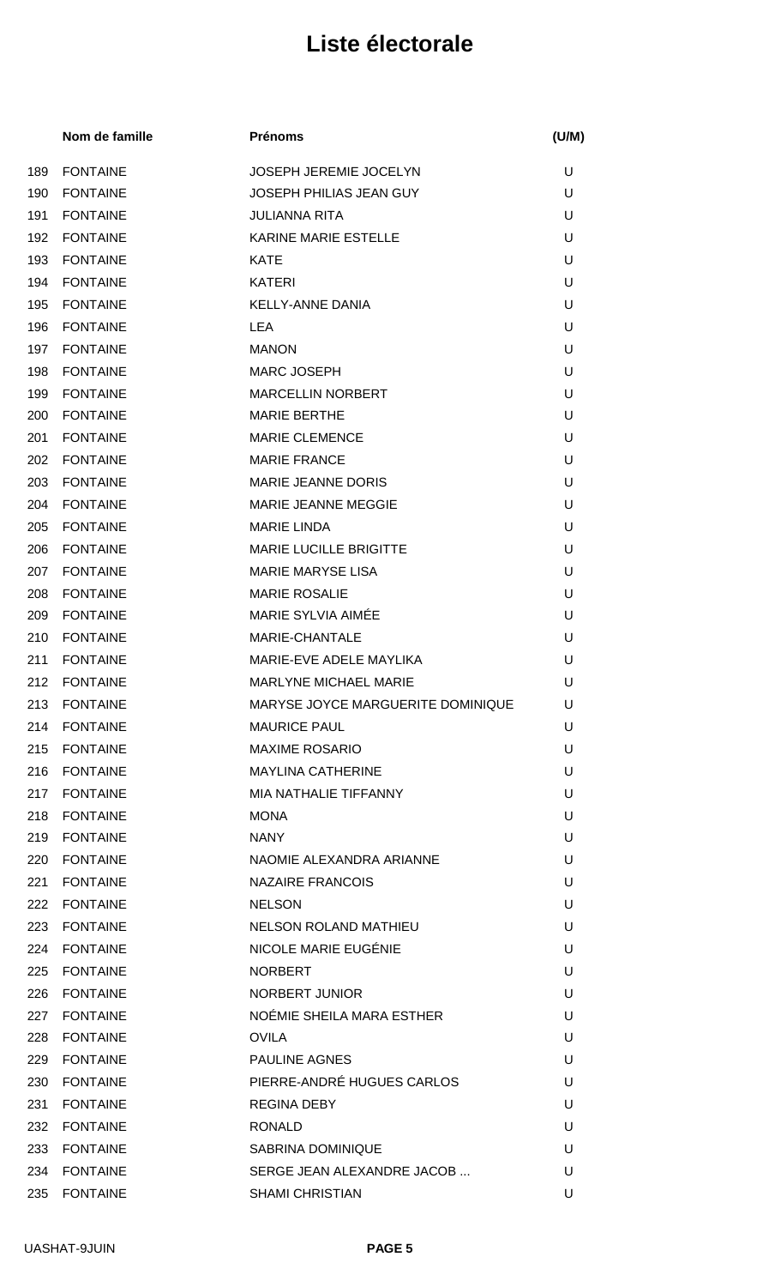|     | Nom de famille  | <b>Prénoms</b>                    | (U/M) |
|-----|-----------------|-----------------------------------|-------|
| 189 | <b>FONTAINE</b> | <b>JOSEPH JEREMIE JOCELYN</b>     | U     |
| 190 | <b>FONTAINE</b> | JOSEPH PHILIAS JEAN GUY           | U     |
| 191 | <b>FONTAINE</b> | <b>JULIANNA RITA</b>              | U     |
| 192 | <b>FONTAINE</b> | <b>KARINE MARIE ESTELLE</b>       | U     |
| 193 | <b>FONTAINE</b> | <b>KATE</b>                       | U     |
| 194 | <b>FONTAINE</b> | <b>KATERI</b>                     | U     |
| 195 | <b>FONTAINE</b> | <b>KELLY-ANNE DANIA</b>           | U     |
| 196 | <b>FONTAINE</b> | LEA                               | U     |
| 197 | <b>FONTAINE</b> | <b>MANON</b>                      | U     |
| 198 | <b>FONTAINE</b> | MARC JOSEPH                       | U     |
| 199 | <b>FONTAINE</b> | <b>MARCELLIN NORBERT</b>          | U     |
| 200 | <b>FONTAINE</b> | <b>MARIE BERTHE</b>               | U     |
| 201 | <b>FONTAINE</b> | <b>MARIE CLEMENCE</b>             | U     |
| 202 | <b>FONTAINE</b> | <b>MARIE FRANCE</b>               | U     |
| 203 | <b>FONTAINE</b> | <b>MARIE JEANNE DORIS</b>         | U     |
| 204 | <b>FONTAINE</b> | MARIE JEANNE MEGGIE               | U     |
| 205 | <b>FONTAINE</b> | <b>MARIE LINDA</b>                | U     |
| 206 | <b>FONTAINE</b> | <b>MARIE LUCILLE BRIGITTE</b>     | U     |
| 207 | <b>FONTAINE</b> | <b>MARIE MARYSE LISA</b>          | U     |
| 208 | <b>FONTAINE</b> | <b>MARIE ROSALIE</b>              | U     |
| 209 | <b>FONTAINE</b> | MARIE SYLVIA AIMÉE                | U     |
| 210 | <b>FONTAINE</b> | <b>MARIE-CHANTALE</b>             | U     |
| 211 | <b>FONTAINE</b> | MARIE-EVE ADELE MAYLIKA           | U     |
| 212 | <b>FONTAINE</b> | <b>MARLYNE MICHAEL MARIE</b>      | U     |
| 213 | <b>FONTAINE</b> | MARYSE JOYCE MARGUERITE DOMINIQUE | U     |
|     | 214 FONTAINE    | <b>MAURICE PAUL</b>               | U     |
| 215 | <b>FONTAINE</b> | <b>MAXIME ROSARIO</b>             | U     |
|     | 216 FONTAINE    | <b>MAYLINA CATHERINE</b>          | U     |
|     | 217 FONTAINE    | MIA NATHALIE TIFFANNY             | U     |
| 218 | <b>FONTAINE</b> | <b>MONA</b>                       | U     |
|     | 219 FONTAINE    | <b>NANY</b>                       | U     |
|     | 220 FONTAINE    | NAOMIE ALEXANDRA ARIANNE          | U     |
|     | 221 FONTAINE    | <b>NAZAIRE FRANCOIS</b>           | U     |
|     | 222 FONTAINE    | <b>NELSON</b>                     | U     |
|     | 223 FONTAINE    | NELSON ROLAND MATHIEU             | U     |
|     | 224 FONTAINE    | NICOLE MARIE EUGÉNIE              | U     |
|     | 225 FONTAINE    | <b>NORBERT</b>                    | U     |
|     | 226 FONTAINE    | NORBERT JUNIOR                    | U     |
|     | 227 FONTAINE    | NOÉMIE SHEILA MARA ESTHER         | U     |
|     | 228 FONTAINE    | <b>OVILA</b>                      | U     |
| 229 | <b>FONTAINE</b> | <b>PAULINE AGNES</b>              | U     |
|     | 230 FONTAINE    | PIERRE-ANDRÉ HUGUES CARLOS        | U     |
| 231 | <b>FONTAINE</b> | <b>REGINA DEBY</b>                | U     |
|     | 232 FONTAINE    | <b>RONALD</b>                     | U     |
|     | 233 FONTAINE    | <b>SABRINA DOMINIQUE</b>          | U     |
|     | 234 FONTAINE    | SERGE JEAN ALEXANDRE JACOB        | U     |
| 235 | <b>FONTAINE</b> | <b>SHAMI CHRISTIAN</b>            | U     |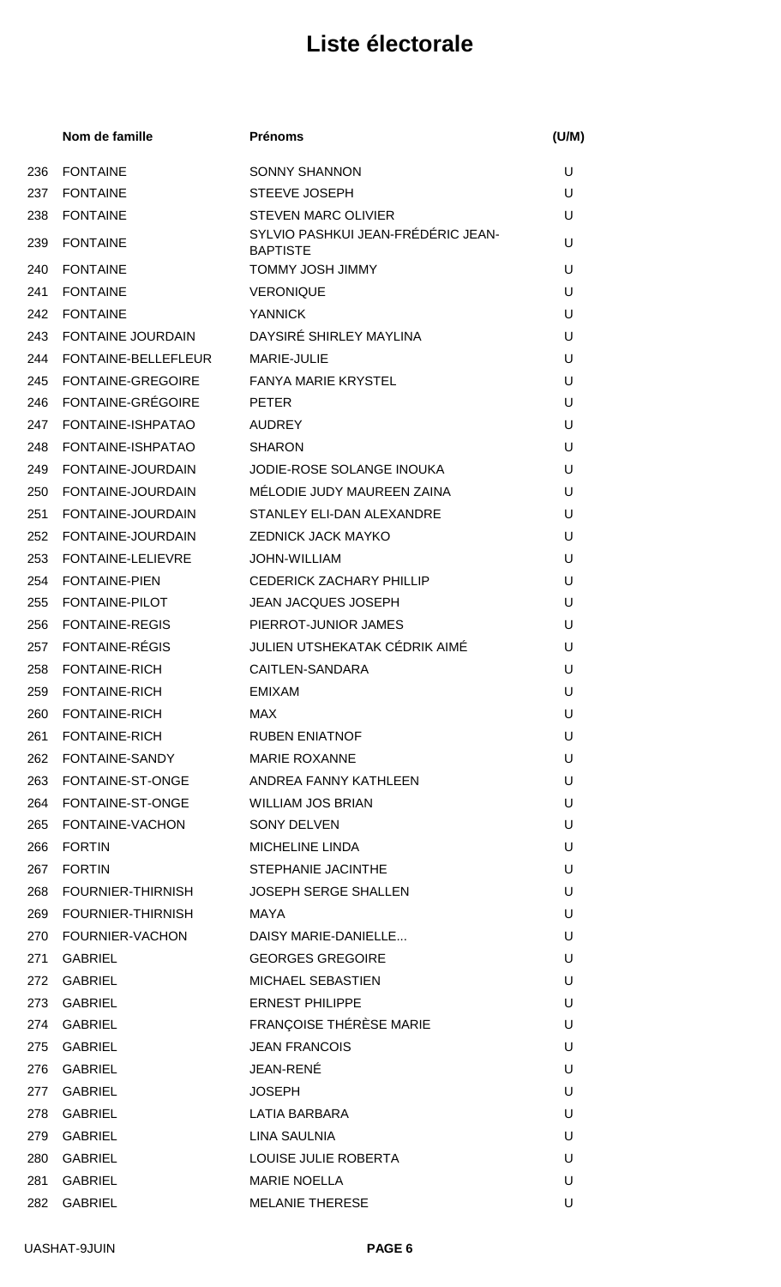|     | Nom de famille           | <b>Prénoms</b>                                        | (U/M) |
|-----|--------------------------|-------------------------------------------------------|-------|
| 236 | <b>FONTAINE</b>          | <b>SONNY SHANNON</b>                                  | U     |
| 237 | <b>FONTAINE</b>          | <b>STEEVE JOSEPH</b>                                  | U     |
| 238 | <b>FONTAINE</b>          | <b>STEVEN MARC OLIVIER</b>                            | U     |
| 239 | <b>FONTAINE</b>          | SYLVIO PASHKUI JEAN-FRÉDÉRIC JEAN-<br><b>BAPTISTE</b> | U     |
| 240 | <b>FONTAINE</b>          | <b>TOMMY JOSH JIMMY</b>                               | U     |
| 241 | <b>FONTAINE</b>          | <b>VERONIQUE</b>                                      | U     |
| 242 | <b>FONTAINE</b>          | <b>YANNICK</b>                                        | U     |
| 243 | <b>FONTAINE JOURDAIN</b> | DAYSIRÉ SHIRLEY MAYLINA                               | U     |
| 244 | FONTAINE-BELLEFLEUR      | MARIE-JULIE                                           | U     |
| 245 | <b>FONTAINE-GREGOIRE</b> | <b>FANYA MARIE KRYSTEL</b>                            | U     |
| 246 | <b>FONTAINE-GRÉGOIRE</b> | <b>PETER</b>                                          | U     |
| 247 | FONTAINE-ISHPATAO        | <b>AUDREY</b>                                         | U     |
| 248 | FONTAINE-ISHPATAO        | <b>SHARON</b>                                         | U     |
| 249 | <b>FONTAINE-JOURDAIN</b> | JODIE-ROSE SOLANGE INOUKA                             | U     |
| 250 | FONTAINE-JOURDAIN        | MÉLODIE JUDY MAUREEN ZAINA                            | U     |
| 251 | FONTAINE-JOURDAIN        | STANLEY ELI-DAN ALEXANDRE                             | U     |
| 252 | FONTAINE-JOURDAIN        | <b>ZEDNICK JACK MAYKO</b>                             | U     |
| 253 | FONTAINE-LELIEVRE        | <b>JOHN-WILLIAM</b>                                   | U     |
| 254 | <b>FONTAINE-PIEN</b>     | <b>CEDERICK ZACHARY PHILLIP</b>                       | U     |
| 255 | FONTAINE-PILOT           | <b>JEAN JACQUES JOSEPH</b>                            | U     |
| 256 | <b>FONTAINE-REGIS</b>    | PIERROT-JUNIOR JAMES                                  | U     |
| 257 | FONTAINE-RÉGIS           | JULIEN UTSHEKATAK CÉDRIK AIMÉ                         | U     |
| 258 | <b>FONTAINE-RICH</b>     | CAITLEN-SANDARA                                       | U     |
| 259 | <b>FONTAINE-RICH</b>     | <b>EMIXAM</b>                                         | U     |
| 260 | <b>FONTAINE-RICH</b>     | <b>MAX</b>                                            | U     |
| 261 | <b>FONTAINE-RICH</b>     | <b>RUBEN ENIATNOF</b>                                 | U     |
|     | 262 FONTAINE-SANDY       | <b>MARIE ROXANNE</b>                                  | U     |
|     | 263 FONTAINE-ST-ONGE     | ANDREA FANNY KATHLEEN                                 | U     |
|     | 264 FONTAINE-ST-ONGE     | <b>WILLIAM JOS BRIAN</b>                              | U     |
| 265 | FONTAINE-VACHON          | <b>SONY DELVEN</b>                                    | U     |
| 266 | <b>FORTIN</b>            | <b>MICHELINE LINDA</b>                                | U     |
|     | 267 FORTIN               | STEPHANIE JACINTHE                                    | U     |
| 268 | <b>FOURNIER-THIRNISH</b> | <b>JOSEPH SERGE SHALLEN</b>                           | U     |
|     | 269 FOURNIER-THIRNISH    | MAYA                                                  | U     |
|     | 270 FOURNIER-VACHON      | DAISY MARIE-DANIELLE                                  | U     |
| 271 | <b>GABRIEL</b>           | <b>GEORGES GREGOIRE</b>                               | U     |
| 272 | <b>GABRIEL</b>           | MICHAEL SEBASTIEN                                     | U     |
|     | 273 GABRIEL              | <b>ERNEST PHILIPPE</b>                                | U     |
| 274 | GABRIEL                  | FRANÇOISE THÉRÈSE MARIE                               | U     |
| 275 | GABRIEL                  | <b>JEAN FRANCOIS</b>                                  | U     |
| 276 | GABRIEL                  | JEAN-RENÉ                                             | U     |
| 277 | <b>GABRIEL</b>           | <b>JOSEPH</b>                                         | U     |
| 278 | GABRIEL                  | LATIA BARBARA                                         | U     |
| 279 | <b>GABRIEL</b>           | <b>LINA SAULNIA</b>                                   | U     |
| 280 | GABRIEL                  | LOUISE JULIE ROBERTA                                  | U     |
| 281 | <b>GABRIEL</b>           | <b>MARIE NOELLA</b>                                   | U     |
| 282 | <b>GABRIEL</b>           | <b>MELANIE THERESE</b>                                | U     |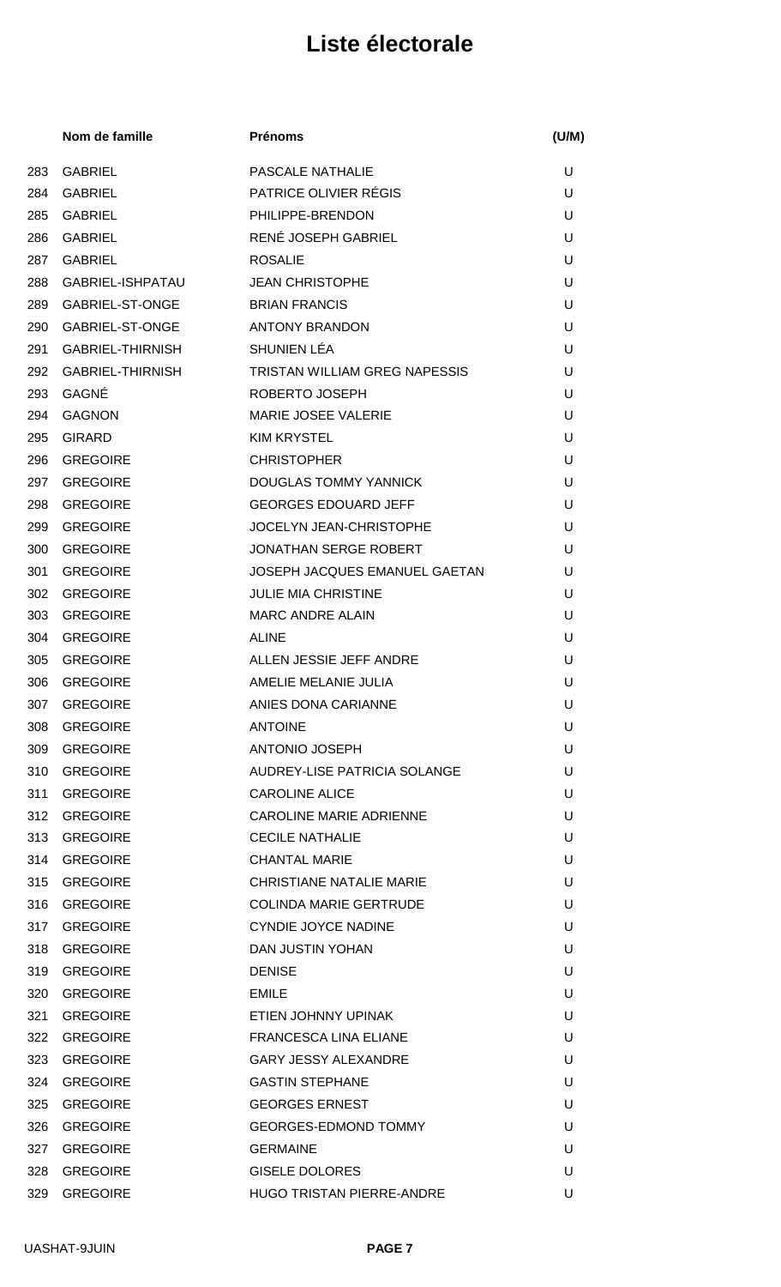|     | Nom de famille   | <b>Prénoms</b>                       | (U/M) |
|-----|------------------|--------------------------------------|-------|
| 283 | <b>GABRIEL</b>   | <b>PASCALE NATHALIE</b>              | U     |
| 284 | <b>GABRIEL</b>   | <b>PATRICE OLIVIER RÉGIS</b>         | U     |
| 285 | <b>GABRIEL</b>   | PHILIPPE-BRENDON                     | U     |
| 286 | <b>GABRIEL</b>   | RENÉ JOSEPH GABRIEL                  | U     |
| 287 | <b>GABRIEL</b>   | <b>ROSALIE</b>                       | U     |
| 288 | GABRIEL-ISHPATAU | <b>JEAN CHRISTOPHE</b>               | U     |
| 289 | GABRIEL-ST-ONGE  | <b>BRIAN FRANCIS</b>                 | U     |
| 290 | GABRIEL-ST-ONGE  | <b>ANTONY BRANDON</b>                | U     |
| 291 | GABRIEL-THIRNISH | SHUNIEN LÉA                          | U     |
| 292 | GABRIEL-THIRNISH | <b>TRISTAN WILLIAM GREG NAPESSIS</b> | U     |
| 293 | GAGNÉ            | ROBERTO JOSEPH                       | U     |
| 294 | <b>GAGNON</b>    | <b>MARIE JOSEE VALERIE</b>           | U     |
| 295 | <b>GIRARD</b>    | <b>KIM KRYSTEL</b>                   | U     |
| 296 | <b>GREGOIRE</b>  | <b>CHRISTOPHER</b>                   | U     |
| 297 | <b>GREGOIRE</b>  | DOUGLAS TOMMY YANNICK                | U     |
| 298 | <b>GREGOIRE</b>  | <b>GEORGES EDOUARD JEFF</b>          | U     |
| 299 | <b>GREGOIRE</b>  | <b>JOCELYN JEAN-CHRISTOPHE</b>       | U     |
| 300 | <b>GREGOIRE</b>  | <b>JONATHAN SERGE ROBERT</b>         | U     |
| 301 | <b>GREGOIRE</b>  | JOSEPH JACQUES EMANUEL GAETAN        | U     |
| 302 | <b>GREGOIRE</b>  | <b>JULIE MIA CHRISTINE</b>           | U     |
| 303 | <b>GREGOIRE</b>  | <b>MARC ANDRE ALAIN</b>              | U     |
| 304 | <b>GREGOIRE</b>  | <b>ALINE</b>                         | U     |
| 305 | <b>GREGOIRE</b>  | ALLEN JESSIE JEFF ANDRE              | U     |
| 306 | <b>GREGOIRE</b>  | AMELIE MELANIE JULIA                 | U     |
|     | 307 GREGOIRE     | ANIES DONA CARIANNE                  | U     |
| 308 | GREGOIRE         | <b>ANTOINE</b>                       | U     |
| 309 | GREGOIRE         | ANTONIO JOSEPH                       | U     |
| 310 | GREGOIRE         | AUDREY-LISE PATRICIA SOLANGE         | U     |
| 311 | <b>GREGOIRE</b>  | <b>CAROLINE ALICE</b>                | U     |
| 312 | <b>GREGOIRE</b>  | <b>CAROLINE MARIE ADRIENNE</b>       | U     |
| 313 | GREGOIRE         | <b>CECILE NATHALIE</b>               | U     |
|     | 314 GREGOIRE     | <b>CHANTAL MARIE</b>                 | U     |
|     | 315 GREGOIRE     | CHRISTIANE NATALIE MARIE             | U     |
|     | 316 GREGOIRE     | <b>COLINDA MARIE GERTRUDE</b>        | U     |
|     | 317 GREGOIRE     | <b>CYNDIE JOYCE NADINE</b>           | U     |
| 318 | <b>GREGOIRE</b>  | DAN JUSTIN YOHAN                     | U     |
|     | 319 GREGOIRE     | <b>DENISE</b>                        | U     |
| 320 | GREGOIRE         | <b>EMILE</b>                         | U     |
| 321 | <b>GREGOIRE</b>  | ETIEN JOHNNY UPINAK                  | U     |
| 322 | <b>GREGOIRE</b>  | <b>FRANCESCA LINA ELIANE</b>         | U     |
| 323 | <b>GREGOIRE</b>  | <b>GARY JESSY ALEXANDRE</b>          | U     |
|     | 324 GREGOIRE     | <b>GASTIN STEPHANE</b>               | U     |
| 325 | <b>GREGOIRE</b>  | <b>GEORGES ERNEST</b>                | U     |
| 326 | <b>GREGOIRE</b>  | <b>GEORGES-EDMOND TOMMY</b>          | U     |
| 327 | <b>GREGOIRE</b>  | <b>GERMAINE</b>                      | U     |
| 328 | <b>GREGOIRE</b>  | <b>GISELE DOLORES</b>                | U     |
| 329 | <b>GREGOIRE</b>  | HUGO TRISTAN PIERRE-ANDRE            | U     |
|     |                  |                                      |       |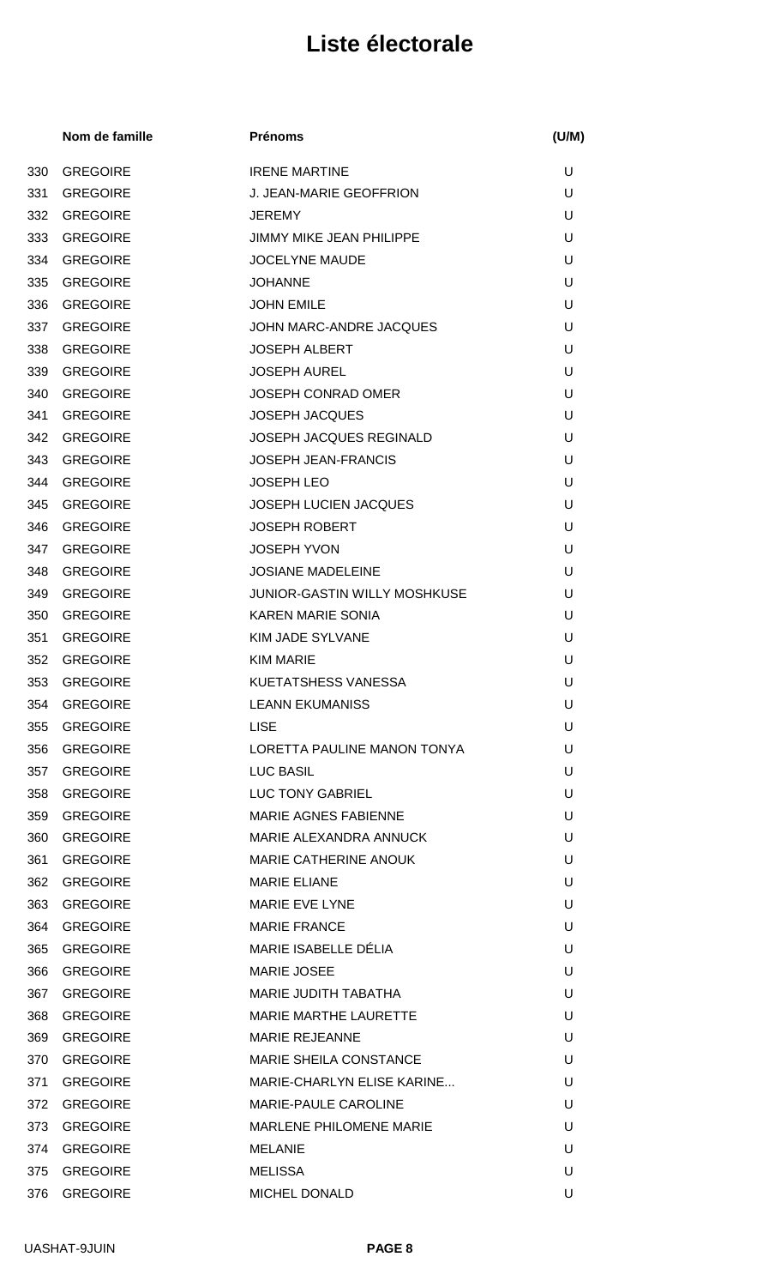|     | Nom de famille  | <b>Prénoms</b>                      | (U/M) |
|-----|-----------------|-------------------------------------|-------|
| 330 | <b>GREGOIRE</b> | <b>IRENE MARTINE</b>                | U     |
| 331 | <b>GREGOIRE</b> | J. JEAN-MARIE GEOFFRION             | U     |
| 332 | <b>GREGOIRE</b> | <b>JEREMY</b>                       | U     |
| 333 | <b>GREGOIRE</b> | <b>JIMMY MIKE JEAN PHILIPPE</b>     | U     |
| 334 | <b>GREGOIRE</b> | <b>JOCELYNE MAUDE</b>               | U     |
| 335 | <b>GREGOIRE</b> | <b>JOHANNE</b>                      | U     |
| 336 | <b>GREGOIRE</b> | <b>JOHN EMILE</b>                   | U     |
| 337 | <b>GREGOIRE</b> | JOHN MARC-ANDRE JACQUES             | U     |
| 338 | <b>GREGOIRE</b> | <b>JOSEPH ALBERT</b>                | U     |
| 339 | <b>GREGOIRE</b> | <b>JOSEPH AUREL</b>                 | U     |
| 340 | <b>GREGOIRE</b> | <b>JOSEPH CONRAD OMER</b>           | U     |
| 341 | <b>GREGOIRE</b> | <b>JOSEPH JACQUES</b>               | U     |
| 342 | <b>GREGOIRE</b> | JOSEPH JACQUES REGINALD             | U     |
| 343 | <b>GREGOIRE</b> | <b>JOSEPH JEAN-FRANCIS</b>          | U     |
| 344 | <b>GREGOIRE</b> | <b>JOSEPH LEO</b>                   | U     |
| 345 | <b>GREGOIRE</b> | <b>JOSEPH LUCIEN JACQUES</b>        | U     |
| 346 | <b>GREGOIRE</b> | <b>JOSEPH ROBERT</b>                | U     |
| 347 | <b>GREGOIRE</b> | <b>JOSEPH YVON</b>                  | U     |
| 348 | <b>GREGOIRE</b> | <b>JOSIANE MADELEINE</b>            | U     |
| 349 | <b>GREGOIRE</b> | <b>JUNIOR-GASTIN WILLY MOSHKUSE</b> | U     |
| 350 | <b>GREGOIRE</b> | <b>KAREN MARIE SONIA</b>            | U     |
| 351 | <b>GREGOIRE</b> | <b>KIM JADE SYLVANE</b>             | U     |
| 352 | <b>GREGOIRE</b> | <b>KIM MARIE</b>                    | U     |
| 353 | <b>GREGOIRE</b> | KUETATSHESS VANESSA                 | U     |
|     | 354 GREGOIRE    | <b>LEANN EKUMANISS</b>              | U     |
| 355 | <b>GREGOIRE</b> | <b>LISE</b>                         | U     |
| 356 | GREGOIRE        | LORETTA PAULINE MANON TONYA         | U     |
| 357 | <b>GREGOIRE</b> | <b>LUC BASIL</b>                    | U     |
| 358 | <b>GREGOIRE</b> | <b>LUC TONY GABRIEL</b>             | U     |
| 359 | <b>GREGOIRE</b> | <b>MARIE AGNES FABIENNE</b>         | U     |
| 360 | GREGOIRE        | MARIE ALEXANDRA ANNUCK              | U     |
| 361 | GREGOIRE        | MARIE CATHERINE ANOUK               | U     |
| 362 | GREGOIRE        | <b>MARIE ELIANE</b>                 | U     |
| 363 | GREGOIRE        | <b>MARIE EVE LYNE</b>               | U     |
| 364 | GREGOIRE        | <b>MARIE FRANCE</b>                 | U     |
| 365 | <b>GREGOIRE</b> | MARIE ISABELLE DÉLIA                | U     |
| 366 | GREGOIRE        | <b>MARIE JOSEE</b>                  | U     |
| 367 | <b>GREGOIRE</b> | MARIE JUDITH TABATHA                | U     |
| 368 | <b>GREGOIRE</b> | <b>MARIE MARTHE LAURETTE</b>        | U     |
| 369 | <b>GREGOIRE</b> | <b>MARIE REJEANNE</b>               | U     |
| 370 | <b>GREGOIRE</b> | <b>MARIE SHEILA CONSTANCE</b>       | U     |
| 371 | <b>GREGOIRE</b> | MARIE-CHARLYN ELISE KARINE          | U     |
| 372 | <b>GREGOIRE</b> | MARIE-PAULE CAROLINE                | U     |
| 373 | <b>GREGOIRE</b> | <b>MARLENE PHILOMENE MARIE</b>      | U     |
| 374 | <b>GREGOIRE</b> | MELANIE                             | U     |
| 375 | <b>GREGOIRE</b> | <b>MELISSA</b>                      | U     |
| 376 | <b>GREGOIRE</b> | MICHEL DONALD                       | U     |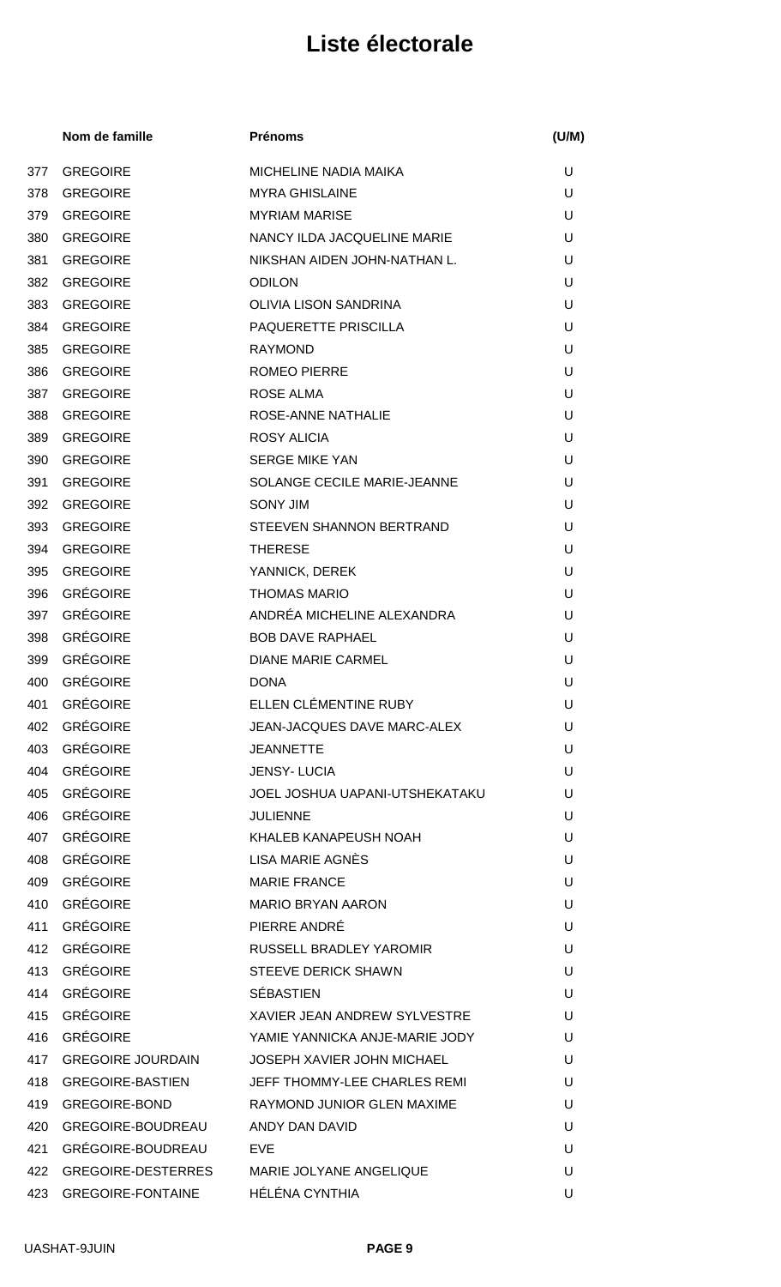|     | Nom de famille           | <b>Prénoms</b>                      | (U/M) |
|-----|--------------------------|-------------------------------------|-------|
| 377 | <b>GREGOIRE</b>          | <b>MICHELINE NADIA MAIKA</b>        | U     |
| 378 | <b>GREGOIRE</b>          | <b>MYRA GHISLAINE</b>               | U     |
| 379 | <b>GREGOIRE</b>          | <b>MYRIAM MARISE</b>                | U     |
| 380 | <b>GREGOIRE</b>          | NANCY ILDA JACQUELINE MARIE         | U     |
| 381 | <b>GREGOIRE</b>          | NIKSHAN AIDEN JOHN-NATHAN L.        | U     |
| 382 | <b>GREGOIRE</b>          | <b>ODILON</b>                       | U     |
| 383 | <b>GREGOIRE</b>          | <b>OLIVIA LISON SANDRINA</b>        | U     |
| 384 | <b>GREGOIRE</b>          | PAQUERETTE PRISCILLA                | U     |
| 385 | <b>GREGOIRE</b>          | <b>RAYMOND</b>                      | U     |
| 386 | <b>GREGOIRE</b>          | <b>ROMEO PIERRE</b>                 | U     |
| 387 | <b>GREGOIRE</b>          | <b>ROSE ALMA</b>                    | U     |
| 388 | <b>GREGOIRE</b>          | ROSE-ANNE NATHALIE                  | U     |
| 389 | <b>GREGOIRE</b>          | <b>ROSY ALICIA</b>                  | U     |
| 390 | <b>GREGOIRE</b>          | <b>SERGE MIKE YAN</b>               | U     |
| 391 | <b>GREGOIRE</b>          | SOLANGE CECILE MARIE-JEANNE         | U     |
| 392 | <b>GREGOIRE</b>          | <b>SONY JIM</b>                     | U     |
| 393 | <b>GREGOIRE</b>          | STEEVEN SHANNON BERTRAND            | U     |
| 394 | <b>GREGOIRE</b>          | <b>THERESE</b>                      | U     |
| 395 | <b>GREGOIRE</b>          | YANNICK, DEREK                      | U     |
| 396 | <b>GRÉGOIRE</b>          | <b>THOMAS MARIO</b>                 | U     |
| 397 | <b>GRÉGOIRE</b>          | ANDRÉA MICHELINE ALEXANDRA          | U     |
| 398 | <b>GRÉGOIRE</b>          | <b>BOB DAVE RAPHAEL</b>             | U     |
| 399 | GRÉGOIRE                 | <b>DIANE MARIE CARMEL</b>           | U     |
| 400 | GRÉGOIRE                 | <b>DONA</b>                         | U     |
|     | 401 GRÉGOIRE             | ELLEN CLÉMENTINE RUBY               | U     |
| 402 | <b>GRÉGOIRE</b>          | JEAN-JACQUES DAVE MARC-ALEX         | U     |
| 403 | <b>GRÉGOIRE</b>          | <b>JEANNETTE</b>                    | U     |
| 404 | <b>GRÉGOIRE</b>          | <b>JENSY-LUCIA</b>                  | U     |
| 405 | <b>GRÉGOIRE</b>          | JOEL JOSHUA UAPANI-UTSHEKATAKU      | U     |
| 406 | <b>GRÉGOIRE</b>          | <b>JULIENNE</b>                     | U     |
| 407 | <b>GRÉGOIRE</b>          | KHALEB KANAPEUSH NOAH               | U     |
| 408 | GRÉGOIRE                 | LISA MARIE AGNÈS                    | U     |
| 409 | GRÉGOIRE                 | <b>MARIE FRANCE</b>                 | U     |
| 410 | GRÉGOIRE                 | <b>MARIO BRYAN AARON</b>            | U     |
| 411 | GRÉGOIRE                 | PIERRE ANDRÉ                        | U     |
| 412 | GRÉGOIRE                 | RUSSELL BRADLEY YAROMIR             | U     |
| 413 | GRÉGOIRE                 | <b>STEEVE DERICK SHAWN</b>          | U     |
| 414 | <b>GRÉGOIRE</b>          | <b>SÉBASTIEN</b>                    | U     |
| 415 | <b>GRÉGOIRE</b>          | <b>XAVIER JEAN ANDREW SYLVESTRE</b> | U     |
| 416 | <b>GRÉGOIRE</b>          | YAMIE YANNICKA ANJE-MARIE JODY      | U     |
| 417 | <b>GREGOIRE JOURDAIN</b> | <b>JOSEPH XAVIER JOHN MICHAEL</b>   | U     |
| 418 | <b>GREGOIRE-BASTIEN</b>  | <b>JEFF THOMMY-LEE CHARLES REMI</b> | U     |
| 419 | <b>GREGOIRE-BOND</b>     | RAYMOND JUNIOR GLEN MAXIME          | U     |
| 420 | GREGOIRE-BOUDREAU        | ANDY DAN DAVID                      | U     |
| 421 | GRÉGOIRE-BOUDREAU        | <b>EVE</b>                          | U     |
| 422 | GREGOIRE-DESTERRES       | MARIE JOLYANE ANGELIQUE             | U     |
| 423 | <b>GREGOIRE-FONTAINE</b> | HÉLÉNA CYNTHIA                      | U     |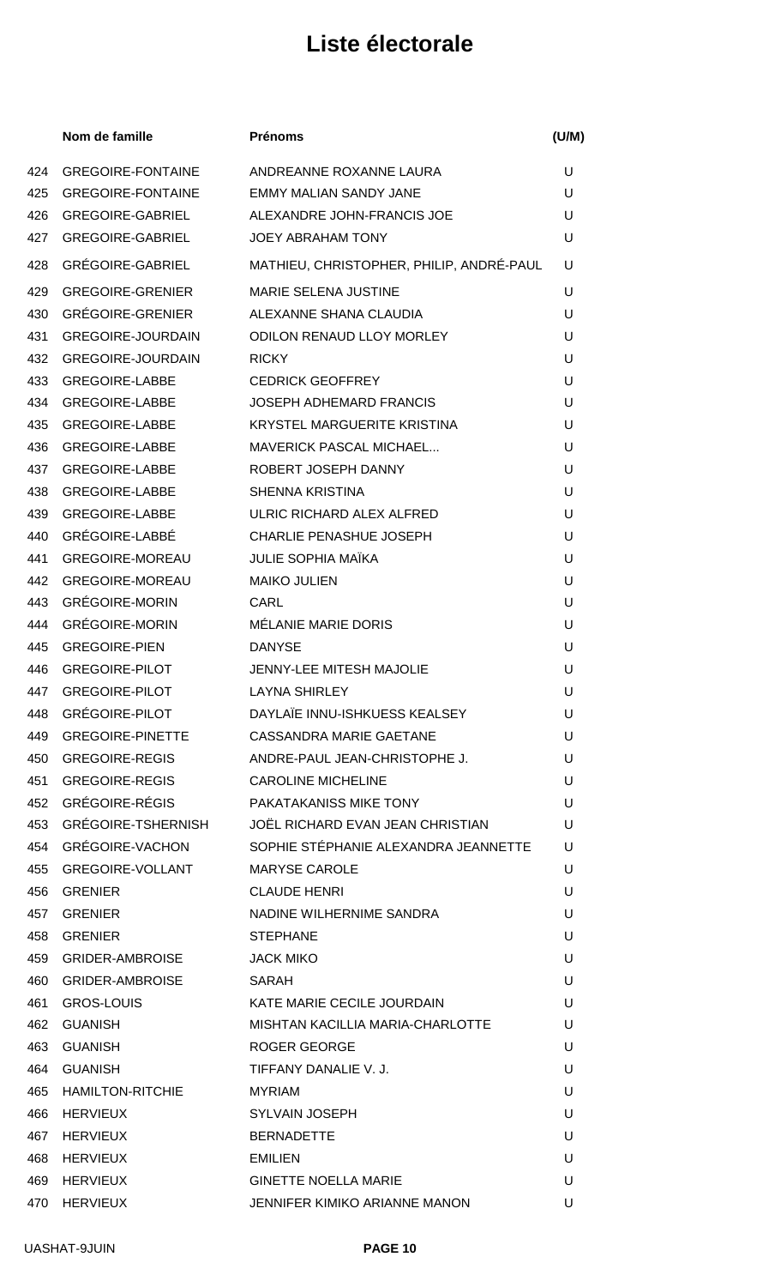|            | Nom de famille                                   | <b>Prénoms</b>                           | (U/M)  |
|------------|--------------------------------------------------|------------------------------------------|--------|
| 424        | <b>GREGOIRE-FONTAINE</b>                         | ANDREANNE ROXANNE LAURA                  | U      |
| 425        | <b>GREGOIRE-FONTAINE</b>                         | <b>EMMY MALIAN SANDY JANE</b>            | U      |
| 426        | <b>GREGOIRE-GABRIEL</b>                          | ALEXANDRE JOHN-FRANCIS JOE               | U      |
| 427        | <b>GREGOIRE-GABRIEL</b>                          | <b>JOEY ABRAHAM TONY</b>                 | U      |
| 428        | <b>GRÉGOIRE-GABRIEL</b>                          | MATHIEU, CHRISTOPHER, PHILIP, ANDRÉ-PAUL | U      |
| 429        | <b>GREGOIRE-GRENIER</b>                          | <b>MARIE SELENA JUSTINE</b>              | U      |
| 430        | <b>GRÉGOIRE-GRENIER</b>                          | ALEXANNE SHANA CLAUDIA                   | U      |
| 431        | <b>GREGOIRE-JOURDAIN</b>                         | <b>ODILON RENAUD LLOY MORLEY</b>         | U      |
| 432        | <b>GREGOIRE-JOURDAIN</b>                         | <b>RICKY</b>                             | U      |
| 433        | <b>GREGOIRE-LABBE</b>                            | <b>CEDRICK GEOFFREY</b>                  | U      |
| 434        | <b>GREGOIRE-LABBE</b>                            | <b>JOSEPH ADHEMARD FRANCIS</b>           | U      |
| 435        | <b>GREGOIRE-LABBE</b>                            | <b>KRYSTEL MARGUERITE KRISTINA</b>       | U      |
| 436        | <b>GREGOIRE-LABBE</b>                            | MAVERICK PASCAL MICHAEL                  | U      |
| 437        | <b>GREGOIRE-LABBE</b>                            | ROBERT JOSEPH DANNY                      | U      |
| 438        | <b>GREGOIRE-LABBE</b>                            | <b>SHENNA KRISTINA</b>                   | U      |
| 439        | <b>GREGOIRE-LABBE</b>                            | ULRIC RICHARD ALEX ALFRED                | U      |
| 440        | GRÉGOIRE-LABBÉ                                   | <b>CHARLIE PENASHUE JOSEPH</b>           | U      |
| 441        | <b>GREGOIRE-MOREAU</b>                           | <b>JULIE SOPHIA MAÏKA</b>                | U      |
| 442        | <b>GREGOIRE-MOREAU</b>                           | <b>MAIKO JULIEN</b>                      | U      |
| 443        | <b>GRÉGOIRE-MORIN</b>                            | CARL                                     | U      |
| 444        | <b>GRÉGOIRE-MORIN</b>                            | MÉLANIE MARIE DORIS                      | U      |
| 445        | <b>GREGOIRE-PIEN</b>                             | <b>DANYSE</b>                            | U      |
| 446        | <b>GREGOIRE-PILOT</b>                            | <b>JENNY-LEE MITESH MAJOLIE</b>          | U      |
| 447        | <b>GREGOIRE-PILOT</b>                            | <b>LAYNA SHIRLEY</b>                     | U      |
| 448        | <b>GRÉGOIRE-PILOT</b>                            | DAYLAÏE INNU-ISHKUESS KEALSEY            | U      |
| 449        | <b>GREGOIRE-PINETTE</b>                          | <b>CASSANDRA MARIE GAETANE</b>           | U      |
| 450        | <b>GREGOIRE-REGIS</b>                            | ANDRE-PAUL JEAN-CHRISTOPHE J.            | U      |
| 451        | <b>GREGOIRE-REGIS</b>                            | <b>CAROLINE MICHELINE</b>                | U      |
| 452        | <b>GRÉGOIRE-RÉGIS</b>                            | PAKATAKANISS MIKE TONY                   | U      |
| 453        | GRÉGOIRE-TSHERNISH                               | JOËL RICHARD EVAN JEAN CHRISTIAN         | U      |
| 454        | GRÉGOIRE-VACHON                                  | SOPHIE STÉPHANIE ALEXANDRA JEANNETTE     | U      |
| 455        | <b>GREGOIRE-VOLLANT</b>                          | <b>MARYSE CAROLE</b>                     | U      |
| 456        | <b>GRENIER</b>                                   | <b>CLAUDE HENRI</b>                      | U      |
| 457        | <b>GRENIER</b>                                   | NADINE WILHERNIME SANDRA                 | U      |
| 458        | <b>GRENIER</b>                                   | <b>STEPHANE</b>                          | U<br>U |
| 459        | <b>GRIDER-AMBROISE</b><br><b>GRIDER-AMBROISE</b> | <b>JACK MIKO</b><br>SARAH                | U      |
| 460        | <b>GROS-LOUIS</b>                                | KATE MARIE CECILE JOURDAIN               | U      |
| 461<br>462 | <b>GUANISH</b>                                   | MISHTAN KACILLIA MARIA-CHARLOTTE         | U      |
| 463        | <b>GUANISH</b>                                   | ROGER GEORGE                             | U      |
| 464        | <b>GUANISH</b>                                   | TIFFANY DANALIE V. J.                    | U      |
| 465        | <b>HAMILTON-RITCHIE</b>                          | <b>MYRIAM</b>                            | U      |
| 466        | <b>HERVIEUX</b>                                  | <b>SYLVAIN JOSEPH</b>                    | U      |
| 467        | <b>HERVIEUX</b>                                  | <b>BERNADETTE</b>                        | U      |
| 468        | <b>HERVIEUX</b>                                  | <b>EMILIEN</b>                           | U      |
| 469        | <b>HERVIEUX</b>                                  | <b>GINETTE NOELLA MARIE</b>              | U      |
| 470        | <b>HERVIEUX</b>                                  | JENNIFER KIMIKO ARIANNE MANON            | U      |
|            |                                                  |                                          |        |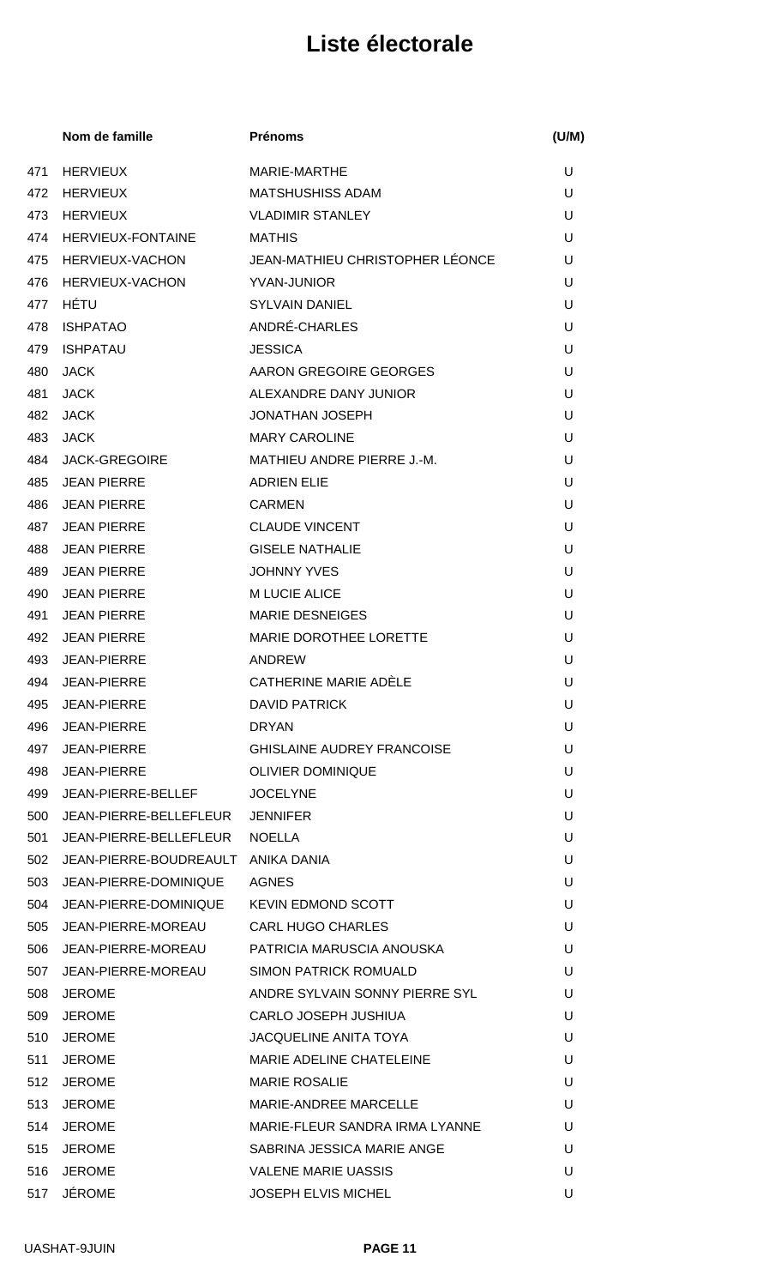|     | Nom de famille             | <b>Prénoms</b>                    | (U/M) |
|-----|----------------------------|-----------------------------------|-------|
| 471 | <b>HERVIEUX</b>            | MARIE-MARTHE                      | U     |
| 472 | <b>HERVIEUX</b>            | <b>MATSHUSHISS ADAM</b>           | U     |
| 473 | <b>HERVIEUX</b>            | <b>VLADIMIR STANLEY</b>           | U     |
| 474 | <b>HERVIEUX-FONTAINE</b>   | <b>MATHIS</b>                     | U     |
| 475 | <b>HERVIEUX-VACHON</b>     | JEAN-MATHIEU CHRISTOPHER LÉONCE   | U     |
| 476 | HERVIEUX-VACHON            | YVAN-JUNIOR                       | U     |
| 477 | HÉTU                       | <b>SYLVAIN DANIEL</b>             | U     |
| 478 | <b>ISHPATAO</b>            | ANDRÉ-CHARLES                     | U     |
| 479 | <b>ISHPATAU</b>            | <b>JESSICA</b>                    | U     |
| 480 | <b>JACK</b>                | AARON GREGOIRE GEORGES            | U     |
| 481 | <b>JACK</b>                | ALEXANDRE DANY JUNIOR             | U     |
| 482 | <b>JACK</b>                | <b>JONATHAN JOSEPH</b>            | U     |
| 483 | <b>JACK</b>                | <b>MARY CAROLINE</b>              | U     |
| 484 | <b>JACK-GREGOIRE</b>       | MATHIEU ANDRE PIERRE J.-M.        | U     |
| 485 | JEAN PIERRE                | <b>ADRIEN ELIE</b>                | U     |
| 486 | <b>JEAN PIERRE</b>         | <b>CARMEN</b>                     | U     |
| 487 | <b>JEAN PIERRE</b>         | <b>CLAUDE VINCENT</b>             | U     |
| 488 | <b>JEAN PIERRE</b>         | <b>GISELE NATHALIE</b>            | U     |
| 489 | <b>JEAN PIERRE</b>         | <b>JOHNNY YVES</b>                | U     |
| 490 | <b>JEAN PIERRE</b>         | M LUCIE ALICE                     | U     |
| 491 | <b>JEAN PIERRE</b>         | <b>MARIE DESNEIGES</b>            | U     |
| 492 | <b>JEAN PIERRE</b>         | <b>MARIE DOROTHEE LORETTE</b>     | U     |
| 493 | <b>JEAN-PIERRE</b>         | <b>ANDREW</b>                     | U     |
| 494 | <b>JEAN-PIERRE</b>         | CATHERINE MARIE ADÈLE             | U     |
|     | 495 JEAN-PIERRE            | <b>DAVID PATRICK</b>              | U     |
| 496 | JEAN-PIERRE                | <b>DRYAN</b>                      | U     |
| 497 | JEAN-PIERRE                | <b>GHISLAINE AUDREY FRANCOISE</b> | U     |
| 498 | JEAN-PIERRE                | <b>OLIVIER DOMINIQUE</b>          | U     |
| 499 | JEAN-PIERRE-BELLEF         | <b>JOCELYNE</b>                   | U     |
| 500 | JEAN-PIERRE-BELLEFLEUR     | <b>JENNIFER</b>                   | U     |
| 501 | JEAN-PIERRE-BELLEFLEUR     | <b>NOELLA</b>                     | U     |
|     | 502 JEAN-PIERRE-BOUDREAULT | ANIKA DANIA                       | U     |
|     | 503 JEAN-PIERRE-DOMINIQUE  | AGNES                             | U     |
| 504 | JEAN-PIERRE-DOMINIQUE      | <b>KEVIN EDMOND SCOTT</b>         | U     |
| 505 | JEAN-PIERRE-MOREAU         | <b>CARL HUGO CHARLES</b>          | U     |
| 506 | JEAN-PIERRE-MOREAU         | PATRICIA MARUSCIA ANOUSKA         | U     |
|     | 507 JEAN-PIERRE-MOREAU     | SIMON PATRICK ROMUALD             | U     |
| 508 | JEROME                     | ANDRE SYLVAIN SONNY PIERRE SYL    | U     |
| 509 | <b>JEROME</b>              | CARLO JOSEPH JUSHIUA              | U     |
| 510 | <b>JEROME</b>              | <b>JACQUELINE ANITA TOYA</b>      | U     |
| 511 | <b>JEROME</b>              | MARIE ADELINE CHATELEINE          | U     |
| 512 | JEROME                     | <b>MARIE ROSALIE</b>              | U     |
| 513 | <b>JEROME</b>              | MARIE-ANDREE MARCELLE             | U     |
| 514 | <b>JEROME</b>              | MARIE-FLEUR SANDRA IRMA LYANNE    | U     |
| 515 | <b>JEROME</b>              | SABRINA JESSICA MARIE ANGE        | U     |
| 516 | <b>JEROME</b>              | <b>VALENE MARIE UASSIS</b>        | U     |
|     | 517 JÉROME                 | JOSEPH ELVIS MICHEL               | U     |
|     |                            |                                   |       |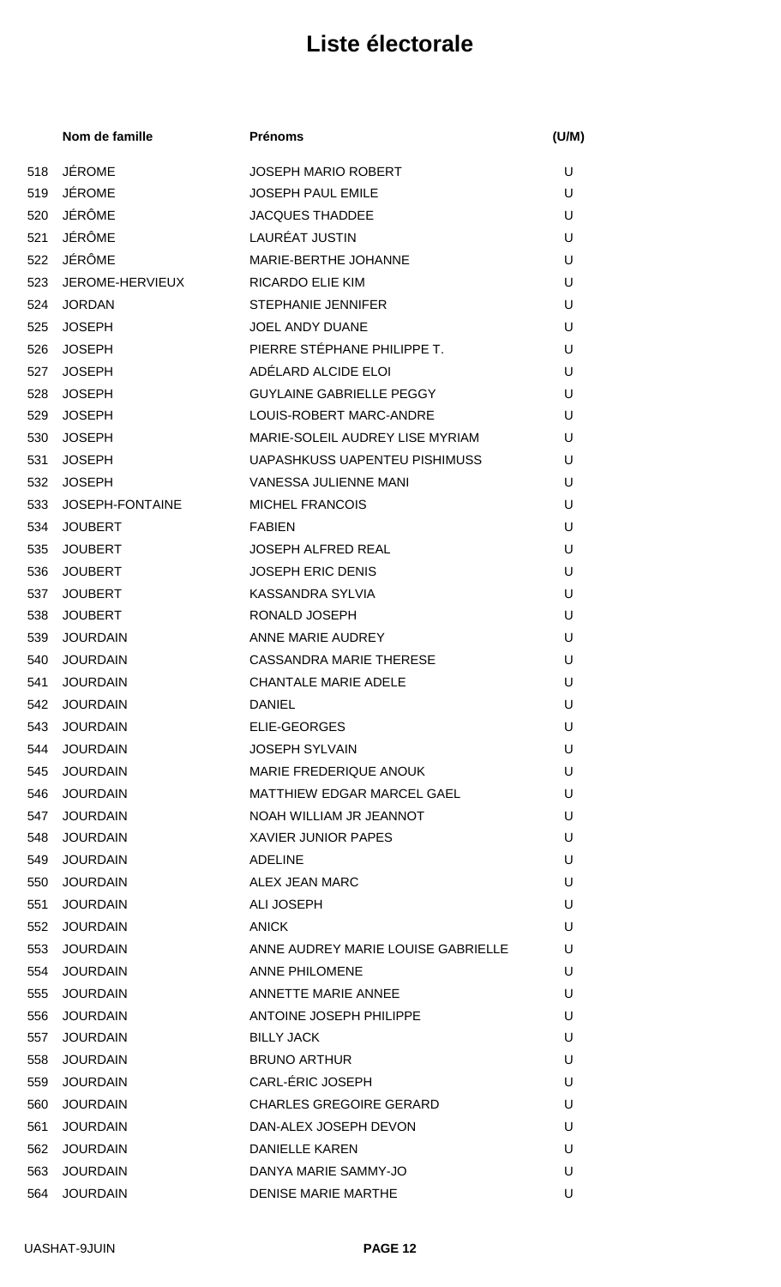|     | Nom de famille  | <b>Prénoms</b>                       | (U/M) |
|-----|-----------------|--------------------------------------|-------|
| 518 | <b>JÉROME</b>   | <b>JOSEPH MARIO ROBERT</b>           | U     |
| 519 | <b>JÉROME</b>   | <b>JOSEPH PAUL EMILE</b>             | U     |
| 520 | JÉRÔME          | <b>JACQUES THADDEE</b>               | U     |
| 521 | <b>JÉRÔME</b>   | LAURÉAT JUSTIN                       | U     |
| 522 | JÉRÔME          | MARIE-BERTHE JOHANNE                 | U     |
| 523 | JEROME-HERVIEUX | RICARDO ELIE KIM                     | U     |
| 524 | <b>JORDAN</b>   | <b>STEPHANIE JENNIFER</b>            | U     |
| 525 | <b>JOSEPH</b>   | <b>JOEL ANDY DUANE</b>               | U     |
| 526 | <b>JOSEPH</b>   | PIERRE STÉPHANE PHILIPPE T.          | U     |
| 527 | <b>JOSEPH</b>   | ADÉLARD ALCIDE ELOI                  | U     |
| 528 | <b>JOSEPH</b>   | <b>GUYLAINE GABRIELLE PEGGY</b>      | U     |
| 529 | <b>JOSEPH</b>   | LOUIS-ROBERT MARC-ANDRE              | U     |
| 530 | <b>JOSEPH</b>   | MARIE-SOLEIL AUDREY LISE MYRIAM      | U     |
| 531 | <b>JOSEPH</b>   | <b>UAPASHKUSS UAPENTEU PISHIMUSS</b> | U     |
| 532 | <b>JOSEPH</b>   | <b>VANESSA JULIENNE MANI</b>         | U     |
| 533 | JOSEPH-FONTAINE | <b>MICHEL FRANCOIS</b>               | U     |
| 534 | <b>JOUBERT</b>  | <b>FABIEN</b>                        | U     |
| 535 | <b>JOUBERT</b>  | <b>JOSEPH ALFRED REAL</b>            | U     |
| 536 | <b>JOUBERT</b>  | <b>JOSEPH ERIC DENIS</b>             | U     |
| 537 | <b>JOUBERT</b>  | <b>KASSANDRA SYLVIA</b>              | U     |
| 538 | <b>JOUBERT</b>  | RONALD JOSEPH                        | U     |
| 539 | <b>JOURDAIN</b> | ANNE MARIE AUDREY                    | U     |
| 540 | <b>JOURDAIN</b> | <b>CASSANDRA MARIE THERESE</b>       | U     |
| 541 | <b>JOURDAIN</b> | <b>CHANTALE MARIE ADELE</b>          | U     |
| 542 | <b>JOURDAIN</b> | <b>DANIEL</b>                        | U     |
| 543 | <b>JOURDAIN</b> | ELIE-GEORGES                         | U     |
| 544 | <b>JOURDAIN</b> | <b>JOSEPH SYLVAIN</b>                | U     |
| 545 | <b>JOURDAIN</b> | MARIE FREDERIQUE ANOUK               | U     |
| 546 | <b>JOURDAIN</b> | <b>MATTHIEW EDGAR MARCEL GAEL</b>    | U     |
| 547 | <b>JOURDAIN</b> | NOAH WILLIAM JR JEANNOT              | U     |
| 548 | <b>JOURDAIN</b> | <b>XAVIER JUNIOR PAPES</b>           | U     |
| 549 | <b>JOURDAIN</b> | <b>ADELINE</b>                       | U     |
| 550 | <b>JOURDAIN</b> | ALEX JEAN MARC                       | U     |
| 551 | <b>JOURDAIN</b> | ALI JOSEPH                           | U     |
| 552 | <b>JOURDAIN</b> | <b>ANICK</b>                         | U     |
| 553 | <b>JOURDAIN</b> | ANNE AUDREY MARIE LOUISE GABRIELLE   | U     |
| 554 | <b>JOURDAIN</b> | <b>ANNE PHILOMENE</b>                | U     |
| 555 | <b>JOURDAIN</b> | ANNETTE MARIE ANNEE                  | U     |
| 556 | <b>JOURDAIN</b> | ANTOINE JOSEPH PHILIPPE              | U     |
| 557 | <b>JOURDAIN</b> | <b>BILLY JACK</b>                    | U     |
| 558 | <b>JOURDAIN</b> | <b>BRUNO ARTHUR</b>                  | U     |
| 559 | <b>JOURDAIN</b> | CARL-ÉRIC JOSEPH                     | U     |
| 560 | <b>JOURDAIN</b> | <b>CHARLES GREGOIRE GERARD</b>       | U     |
| 561 | <b>JOURDAIN</b> | DAN-ALEX JOSEPH DEVON                | U     |
| 562 | <b>JOURDAIN</b> | <b>DANIELLE KAREN</b>                | U     |
| 563 | <b>JOURDAIN</b> | DANYA MARIE SAMMY-JO                 | U     |
| 564 | <b>JOURDAIN</b> | <b>DENISE MARIE MARTHE</b>           | U     |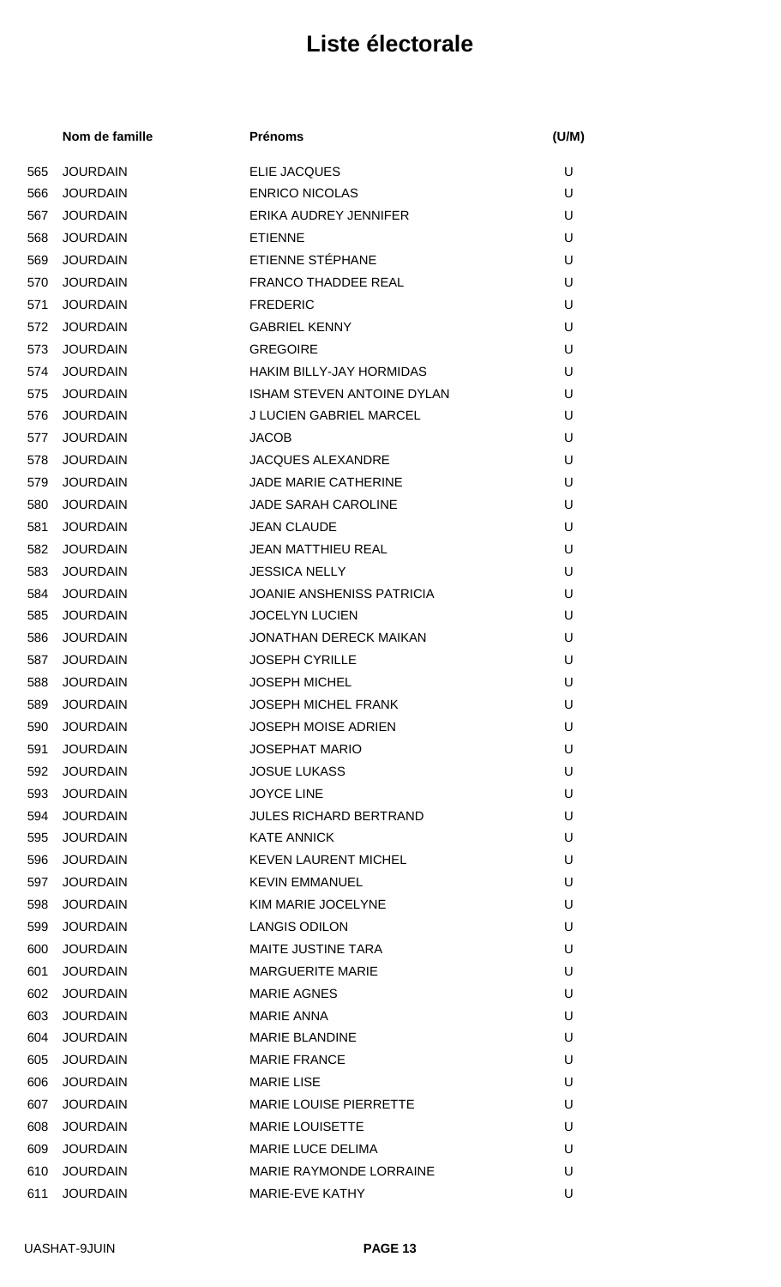|     | Nom de famille  | <b>Prénoms</b>                   | (U/M) |
|-----|-----------------|----------------------------------|-------|
| 565 | <b>JOURDAIN</b> | <b>ELIE JACQUES</b>              | U     |
| 566 | <b>JOURDAIN</b> | <b>ENRICO NICOLAS</b>            | U     |
| 567 | <b>JOURDAIN</b> | ERIKA AUDREY JENNIFER            | U     |
| 568 | <b>JOURDAIN</b> | <b>ETIENNE</b>                   | U     |
| 569 | <b>JOURDAIN</b> | ETIENNE STÉPHANE                 | U     |
| 570 | <b>JOURDAIN</b> | <b>FRANCO THADDEE REAL</b>       | U     |
| 571 | <b>JOURDAIN</b> | <b>FREDERIC</b>                  | U     |
| 572 | <b>JOURDAIN</b> | <b>GABRIEL KENNY</b>             | U     |
| 573 | <b>JOURDAIN</b> | <b>GREGOIRE</b>                  | U     |
| 574 | <b>JOURDAIN</b> | <b>HAKIM BILLY-JAY HORMIDAS</b>  | U     |
| 575 | <b>JOURDAIN</b> | ISHAM STEVEN ANTOINE DYLAN       | U     |
| 576 | <b>JOURDAIN</b> | <b>J LUCIEN GABRIEL MARCEL</b>   | U     |
| 577 | <b>JOURDAIN</b> | <b>JACOB</b>                     | U     |
| 578 | <b>JOURDAIN</b> | <b>JACQUES ALEXANDRE</b>         | U     |
| 579 | <b>JOURDAIN</b> | <b>JADE MARIE CATHERINE</b>      | U     |
| 580 | <b>JOURDAIN</b> | <b>JADE SARAH CAROLINE</b>       | U     |
| 581 | <b>JOURDAIN</b> | <b>JEAN CLAUDE</b>               | U     |
| 582 | <b>JOURDAIN</b> | <b>JEAN MATTHIEU REAL</b>        | U     |
| 583 | <b>JOURDAIN</b> | <b>JESSICA NELLY</b>             | U     |
| 584 | <b>JOURDAIN</b> | <b>JOANIE ANSHENISS PATRICIA</b> | U     |
| 585 | <b>JOURDAIN</b> | <b>JOCELYN LUCIEN</b>            | U     |
| 586 | <b>JOURDAIN</b> | <b>JONATHAN DERECK MAIKAN</b>    | U     |
| 587 | <b>JOURDAIN</b> | <b>JOSEPH CYRILLE</b>            | U     |
| 588 | <b>JOURDAIN</b> | <b>JOSEPH MICHEL</b>             | U     |
| 589 | <b>JOURDAIN</b> | <b>JOSEPH MICHEL FRANK</b>       | U     |
| 590 | <b>JOURDAIN</b> | <b>JOSEPH MOISE ADRIEN</b>       | U     |
| 591 | <b>JOURDAIN</b> | <b>JOSEPHAT MARIO</b>            | U     |
| 592 | <b>JOURDAIN</b> | <b>JOSUE LUKASS</b>              | U     |
| 593 | <b>JOURDAIN</b> | <b>JOYCE LINE</b>                | U     |
| 594 | <b>JOURDAIN</b> | <b>JULES RICHARD BERTRAND</b>    | U     |
| 595 | <b>JOURDAIN</b> | <b>KATE ANNICK</b>               | U     |
| 596 | <b>JOURDAIN</b> | <b>KEVEN LAURENT MICHEL</b>      | U     |
| 597 | <b>JOURDAIN</b> | <b>KEVIN EMMANUEL</b>            | U     |
| 598 | <b>JOURDAIN</b> | KIM MARIE JOCELYNE               | U     |
| 599 | <b>JOURDAIN</b> | <b>LANGIS ODILON</b>             | U     |
| 600 | <b>JOURDAIN</b> | <b>MAITE JUSTINE TARA</b>        | U     |
| 601 | <b>JOURDAIN</b> | <b>MARGUERITE MARIE</b>          | U     |
| 602 | <b>JOURDAIN</b> | <b>MARIE AGNES</b>               | U     |
| 603 | <b>JOURDAIN</b> | <b>MARIE ANNA</b>                | U     |
| 604 | <b>JOURDAIN</b> | <b>MARIE BLANDINE</b>            | U     |
| 605 | <b>JOURDAIN</b> | <b>MARIE FRANCE</b>              | U     |
| 606 | <b>JOURDAIN</b> | <b>MARIE LISE</b>                | U     |
| 607 | <b>JOURDAIN</b> | <b>MARIE LOUISE PIERRETTE</b>    | U     |
| 608 | <b>JOURDAIN</b> | <b>MARIE LOUISETTE</b>           | U     |
| 609 | <b>JOURDAIN</b> | <b>MARIE LUCE DELIMA</b>         | U     |
| 610 | <b>JOURDAIN</b> | MARIE RAYMONDE LORRAINE          | U     |
| 611 | <b>JOURDAIN</b> | MARIE-EVE KATHY                  | U     |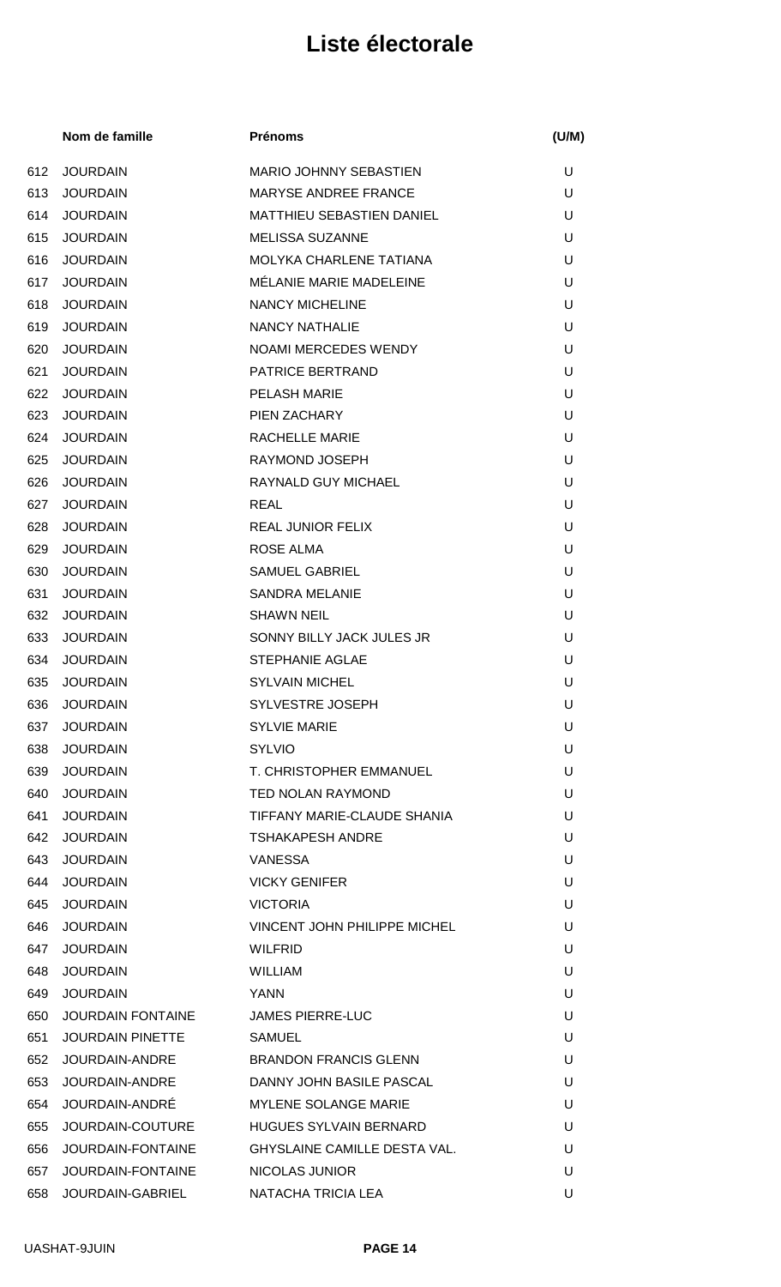|     | Nom de famille           | <b>Prénoms</b>                      | (U/M) |
|-----|--------------------------|-------------------------------------|-------|
| 612 | <b>JOURDAIN</b>          | <b>MARIO JOHNNY SEBASTIEN</b>       | U     |
| 613 | <b>JOURDAIN</b>          | <b>MARYSE ANDREE FRANCE</b>         | U     |
| 614 | <b>JOURDAIN</b>          | <b>MATTHIEU SEBASTIEN DANIEL</b>    | U     |
| 615 | <b>JOURDAIN</b>          | <b>MELISSA SUZANNE</b>              | U     |
| 616 | <b>JOURDAIN</b>          | MOLYKA CHARLENE TATIANA             | U     |
| 617 | <b>JOURDAIN</b>          | MÉLANIE MARIE MADELEINE             | U     |
| 618 | <b>JOURDAIN</b>          | <b>NANCY MICHELINE</b>              | U     |
| 619 | <b>JOURDAIN</b>          | <b>NANCY NATHALIE</b>               | U     |
| 620 | <b>JOURDAIN</b>          | NOAMI MERCEDES WENDY                | U     |
| 621 | <b>JOURDAIN</b>          | PATRICE BERTRAND                    | U     |
| 622 | <b>JOURDAIN</b>          | <b>PELASH MARIE</b>                 | U     |
| 623 | <b>JOURDAIN</b>          | PIEN ZACHARY                        | U     |
| 624 | <b>JOURDAIN</b>          | <b>RACHELLE MARIE</b>               | U     |
| 625 | <b>JOURDAIN</b>          | RAYMOND JOSEPH                      | U     |
| 626 | <b>JOURDAIN</b>          | <b>RAYNALD GUY MICHAEL</b>          | U     |
| 627 | <b>JOURDAIN</b>          | <b>REAL</b>                         | U     |
| 628 | <b>JOURDAIN</b>          | REAL JUNIOR FELIX                   | U     |
| 629 | <b>JOURDAIN</b>          | ROSE ALMA                           | U     |
| 630 | <b>JOURDAIN</b>          | <b>SAMUEL GABRIEL</b>               | U     |
| 631 | <b>JOURDAIN</b>          | <b>SANDRA MELANIE</b>               | U     |
| 632 | <b>JOURDAIN</b>          | <b>SHAWN NEIL</b>                   | U     |
| 633 | <b>JOURDAIN</b>          | SONNY BILLY JACK JULES JR           | U     |
| 634 | <b>JOURDAIN</b>          | <b>STEPHANIE AGLAE</b>              | U     |
| 635 | <b>JOURDAIN</b>          | <b>SYLVAIN MICHEL</b>               | U     |
|     | 636 JOURDAIN             | SYLVESTRE JOSEPH                    | U     |
| 637 | <b>JOURDAIN</b>          | <b>SYLVIE MARIE</b>                 | U     |
| 638 | <b>JOURDAIN</b>          | <b>SYLVIO</b>                       | U     |
| 639 | <b>JOURDAIN</b>          | T. CHRISTOPHER EMMANUEL             | U     |
| 640 | <b>JOURDAIN</b>          | <b>TED NOLAN RAYMOND</b>            | U     |
| 641 | <b>JOURDAIN</b>          | TIFFANY MARIE-CLAUDE SHANIA         | U     |
| 642 | <b>JOURDAIN</b>          | <b>TSHAKAPESH ANDRE</b>             | U     |
| 643 | <b>JOURDAIN</b>          | <b>VANESSA</b>                      | U     |
| 644 | <b>JOURDAIN</b>          | <b>VICKY GENIFER</b>                | U     |
| 645 | <b>JOURDAIN</b>          | <b>VICTORIA</b>                     | U     |
| 646 | <b>JOURDAIN</b>          | VINCENT JOHN PHILIPPE MICHEL        | U     |
| 647 | <b>JOURDAIN</b>          | <b>WILFRID</b>                      | U     |
| 648 | <b>JOURDAIN</b>          | <b>WILLIAM</b>                      | U     |
| 649 | <b>JOURDAIN</b>          | <b>YANN</b>                         | U     |
| 650 | <b>JOURDAIN FONTAINE</b> | <b>JAMES PIERRE-LUC</b>             | U     |
| 651 | <b>JOURDAIN PINETTE</b>  | <b>SAMUEL</b>                       | U     |
| 652 | JOURDAIN-ANDRE           | <b>BRANDON FRANCIS GLENN</b>        | U     |
| 653 | JOURDAIN-ANDRE           | DANNY JOHN BASILE PASCAL            | U     |
| 654 | JOURDAIN-ANDRÉ           | <b>MYLENE SOLANGE MARIE</b>         | U     |
| 655 | JOURDAIN-COUTURE         | <b>HUGUES SYLVAIN BERNARD</b>       | U     |
| 656 | JOURDAIN-FONTAINE        | <b>GHYSLAINE CAMILLE DESTA VAL.</b> | U     |
| 657 | JOURDAIN-FONTAINE        | NICOLAS JUNIOR                      | U     |
| 658 | JOURDAIN-GABRIEL         | NATACHA TRICIA LEA                  | U     |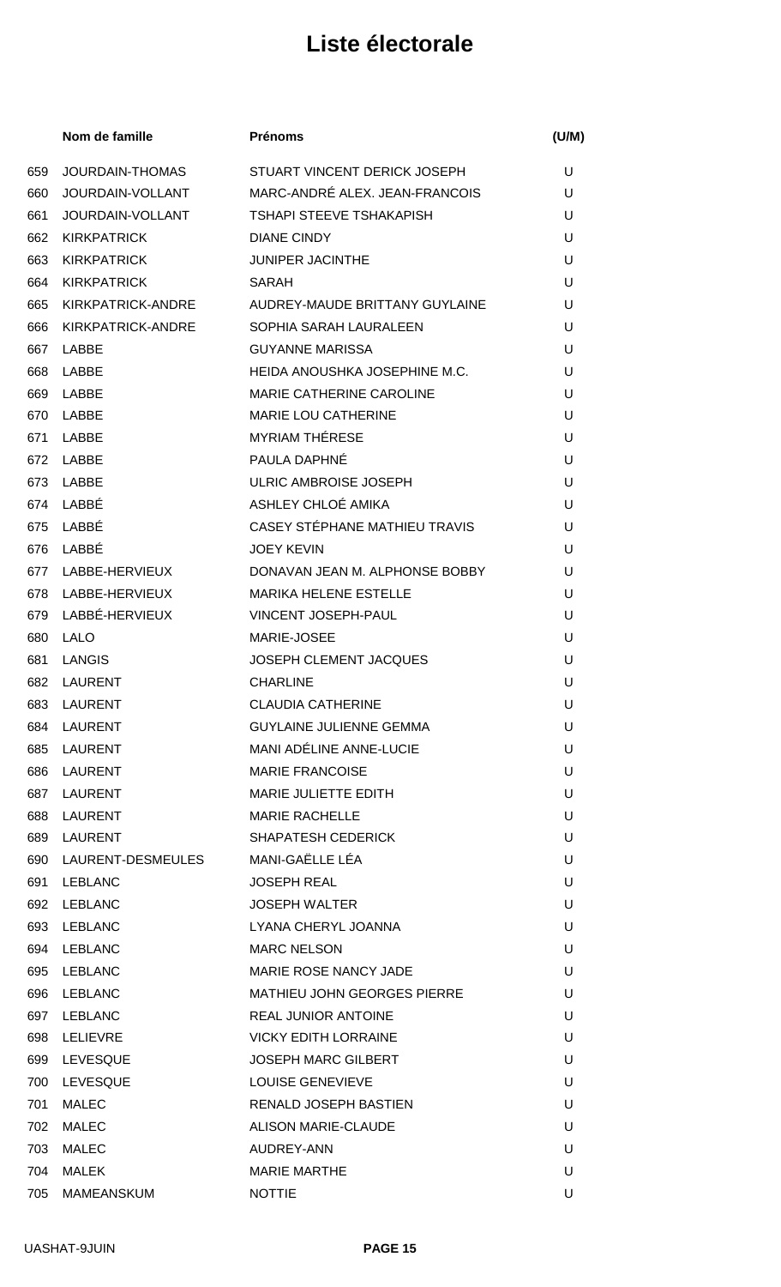|     | Nom de famille     | <b>Prénoms</b>                       | (U/M) |
|-----|--------------------|--------------------------------------|-------|
| 659 | JOURDAIN-THOMAS    | STUART VINCENT DERICK JOSEPH         | U     |
| 660 | JOURDAIN-VOLLANT   | MARC-ANDRÉ ALEX. JEAN-FRANCOIS       | U     |
| 661 | JOURDAIN-VOLLANT   | TSHAPI STEEVE TSHAKAPISH             | U     |
| 662 | <b>KIRKPATRICK</b> | <b>DIANE CINDY</b>                   | U     |
| 663 | <b>KIRKPATRICK</b> | <b>JUNIPER JACINTHE</b>              | U     |
| 664 | <b>KIRKPATRICK</b> | <b>SARAH</b>                         | U     |
| 665 | KIRKPATRICK-ANDRE  | AUDREY-MAUDE BRITTANY GUYLAINE       | U     |
| 666 | KIRKPATRICK-ANDRE  | SOPHIA SARAH LAURALEEN               | U     |
| 667 | LABBE              | <b>GUYANNE MARISSA</b>               | U     |
| 668 | LABBE              | HEIDA ANOUSHKA JOSEPHINE M.C.        | U     |
| 669 | LABBE              | <b>MARIE CATHERINE CAROLINE</b>      | U     |
| 670 | LABBE              | <b>MARIE LOU CATHERINE</b>           | U     |
| 671 | LABBE              | <b>MYRIAM THÉRESE</b>                | U     |
| 672 | LABBE              | PAULA DAPHNÉ                         | U     |
| 673 | LABBE              | ULRIC AMBROISE JOSEPH                | U     |
| 674 | LABBÉ              | ASHLEY CHLOÉ AMIKA                   | U     |
| 675 | LABBÉ              | <b>CASEY STÉPHANE MATHIEU TRAVIS</b> | U     |
| 676 | LABBÉ              | <b>JOEY KEVIN</b>                    | U     |
| 677 | LABBE-HERVIEUX     | DONAVAN JEAN M. ALPHONSE BOBBY       | U     |
| 678 | LABBE-HERVIEUX     | <b>MARIKA HELENE ESTELLE</b>         | U     |
| 679 | LABBÉ-HERVIEUX     | <b>VINCENT JOSEPH-PAUL</b>           | U     |
| 680 | LALO               | MARIE-JOSEE                          | U     |
| 681 | LANGIS             | <b>JOSEPH CLEMENT JACQUES</b>        | U     |
| 682 | <b>LAURENT</b>     | <b>CHARLINE</b>                      | U     |
| 683 | LAURENT            | <b>CLAUDIA CATHERINE</b>             | U     |
| 684 | LAURENT            | <b>GUYLAINE JULIENNE GEMMA</b>       | U     |
| 685 | LAURENT            | <b>MANI ADÉLINE ANNE-LUCIE</b>       | U     |
| 686 | LAURENT            | <b>MARIE FRANCOISE</b>               | U     |
| 687 | LAURENT            | MARIE JULIETTE EDITH                 | U     |
| 688 | LAURENT            | <b>MARIE RACHELLE</b>                | U     |
| 689 | LAURENT            | <b>SHAPATESH CEDERICK</b>            | U     |
| 690 | LAURENT-DESMEULES  | MANI-GAËLLE LÉA                      | U     |
| 691 | LEBLANC            | <b>JOSEPH REAL</b>                   | U     |
| 692 | LEBLANC            | <b>JOSEPH WALTER</b>                 | U     |
| 693 | LEBLANC            | LYANA CHERYL JOANNA                  | U     |
| 694 | LEBLANC            | <b>MARC NELSON</b>                   | U     |
| 695 | LEBLANC            | <b>MARIE ROSE NANCY JADE</b>         | U     |
| 696 | LEBLANC            | <b>MATHIEU JOHN GEORGES PIERRE</b>   | U     |
| 697 | LEBLANC            | <b>REAL JUNIOR ANTOINE</b>           | U     |
| 698 | LELIEVRE           | <b>VICKY EDITH LORRAINE</b>          | U     |
| 699 | <b>LEVESQUE</b>    | <b>JOSEPH MARC GILBERT</b>           | U     |
| 700 | <b>LEVESQUE</b>    | <b>LOUISE GENEVIEVE</b>              | U     |
| 701 | MALEC              | <b>RENALD JOSEPH BASTIEN</b>         | U     |
| 702 | <b>MALEC</b>       | <b>ALISON MARIE-CLAUDE</b>           | U     |
| 703 | <b>MALEC</b>       | AUDREY-ANN                           | U     |
| 704 | MALEK              | <b>MARIE MARTHE</b>                  | U     |
| 705 | MAMEANSKUM         | <b>NOTTIE</b>                        | U     |
|     |                    |                                      |       |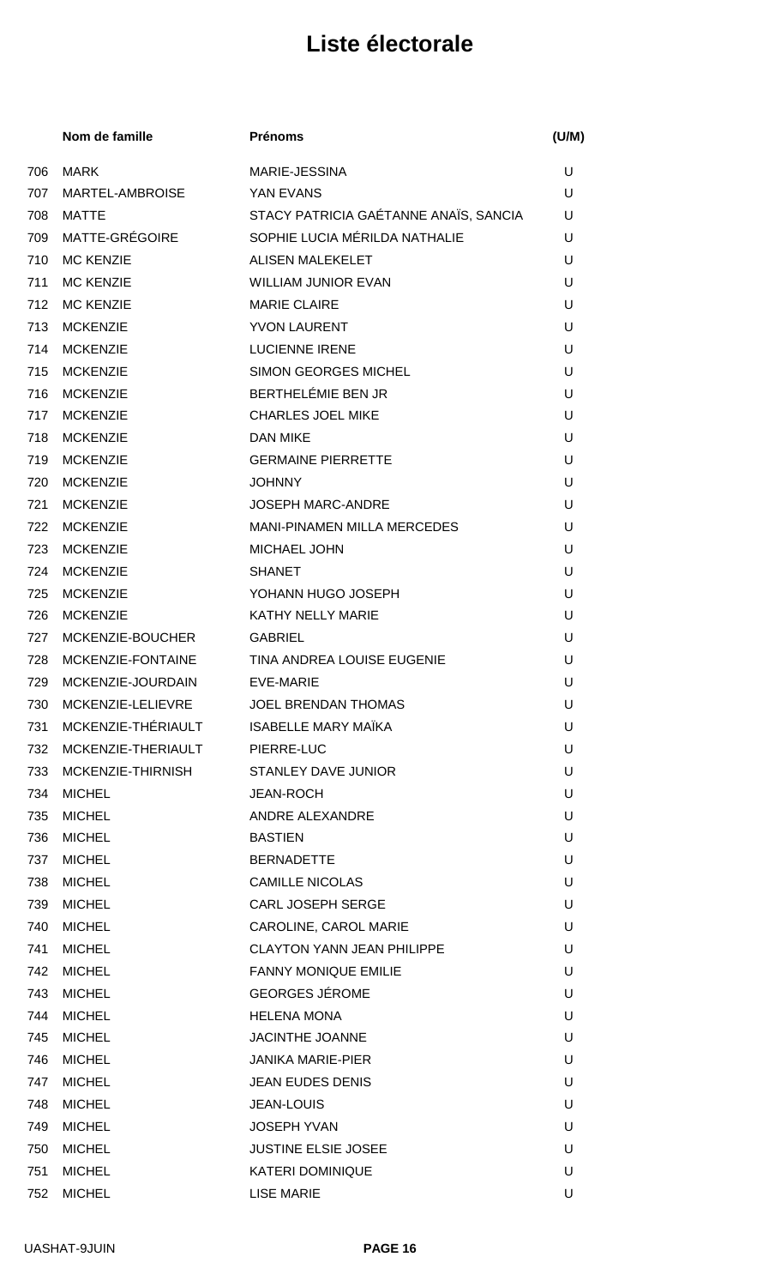|     | Nom de famille         | <b>Prénoms</b>                        | (U/M) |
|-----|------------------------|---------------------------------------|-------|
| 706 | <b>MARK</b>            | MARIE-JESSINA                         | U     |
| 707 | <b>MARTEL-AMBROISE</b> | YAN EVANS                             | U     |
| 708 | MATTE                  | STACY PATRICIA GAÉTANNE ANAÏS, SANCIA | U     |
|     | 709 MATTE-GRÉGOIRE     | SOPHIE LUCIA MÉRILDA NATHALIE         | U     |
| 710 | <b>MC KENZIE</b>       | <b>ALISEN MALEKELET</b>               | U     |
| 711 | <b>MC KENZIE</b>       | <b>WILLIAM JUNIOR EVAN</b>            | U     |
|     | 712 MC KENZIE          | <b>MARIE CLAIRE</b>                   | U     |
| 713 | <b>MCKENZIE</b>        | <b>YVON LAURENT</b>                   | U     |
| 714 | <b>MCKENZIE</b>        | <b>LUCIENNE IRENE</b>                 | U     |
| 715 | <b>MCKENZIE</b>        | <b>SIMON GEORGES MICHEL</b>           | U     |
| 716 | <b>MCKENZIE</b>        | BERTHELÉMIE BEN JR                    | U     |
| 717 | <b>MCKENZIE</b>        | <b>CHARLES JOEL MIKE</b>              | U     |
| 718 | <b>MCKENZIE</b>        | <b>DAN MIKE</b>                       | U     |
| 719 | <b>MCKENZIE</b>        | <b>GERMAINE PIERRETTE</b>             | U     |
| 720 | <b>MCKENZIE</b>        | <b>JOHNNY</b>                         | U     |
| 721 | <b>MCKENZIE</b>        | <b>JOSEPH MARC-ANDRE</b>              | U     |
|     | 722 MCKENZIE           | <b>MANI-PINAMEN MILLA MERCEDES</b>    | U     |
| 723 | <b>MCKENZIE</b>        | <b>MICHAEL JOHN</b>                   | U     |
| 724 | <b>MCKENZIE</b>        | <b>SHANET</b>                         | U     |
| 725 | <b>MCKENZIE</b>        | YOHANN HUGO JOSEPH                    | U     |
| 726 | <b>MCKENZIE</b>        | KATHY NELLY MARIE                     | U     |
|     | 727 MCKENZIE-BOUCHER   | <b>GABRIEL</b>                        | U     |
| 728 | MCKENZIE-FONTAINE      | TINA ANDREA LOUISE EUGENIE            | U     |
| 729 | MCKENZIE-JOURDAIN      | <b>EVE-MARIE</b>                      | U     |
| 730 | MCKENZIE-LELIEVRE      | <b>JOEL BRENDAN THOMAS</b>            | U     |
| 731 | MCKENZIE-THÉRIAULT     | <b>ISABELLE MARY MAÏKA</b>            | U     |
| 732 | MCKENZIE-THERIAULT     | PIERRE-LUC                            | U     |
| 733 | MCKENZIE-THIRNISH      | <b>STANLEY DAVE JUNIOR</b>            | U     |
| 734 | <b>MICHEL</b>          | <b>JEAN-ROCH</b>                      | U     |
| 735 | <b>MICHEL</b>          | ANDRE ALEXANDRE                       | U     |
| 736 | <b>MICHEL</b>          | <b>BASTIEN</b>                        | U     |
| 737 | <b>MICHEL</b>          | <b>BERNADETTE</b>                     | U     |
| 738 | <b>MICHEL</b>          | <b>CAMILLE NICOLAS</b>                | U     |
| 739 | <b>MICHEL</b>          | <b>CARL JOSEPH SERGE</b>              | U     |
| 740 | <b>MICHEL</b>          | CAROLINE, CAROL MARIE                 | U     |
| 741 | <b>MICHEL</b>          | <b>CLAYTON YANN JEAN PHILIPPE</b>     | U     |
| 742 | <b>MICHEL</b>          | FANNY MONIQUE EMILIE                  | U     |
| 743 | <b>MICHEL</b>          | <b>GEORGES JÉROME</b>                 | U     |
| 744 | <b>MICHEL</b>          | <b>HELENA MONA</b>                    | U     |
| 745 | <b>MICHEL</b>          | <b>JACINTHE JOANNE</b>                | U     |
| 746 | <b>MICHEL</b>          | <b>JANIKA MARIE-PIER</b>              | U     |
| 747 | <b>MICHEL</b>          | <b>JEAN EUDES DENIS</b>               | U     |
| 748 | <b>MICHEL</b>          | <b>JEAN-LOUIS</b>                     | U     |
| 749 | <b>MICHEL</b>          | <b>JOSEPH YVAN</b>                    | U     |
| 750 | <b>MICHEL</b>          | <b>JUSTINE ELSIE JOSEE</b>            | U     |
| 751 | <b>MICHEL</b>          | <b>KATERI DOMINIQUE</b>               | U     |
| 752 | <b>MICHEL</b>          | <b>LISE MARIE</b>                     | U     |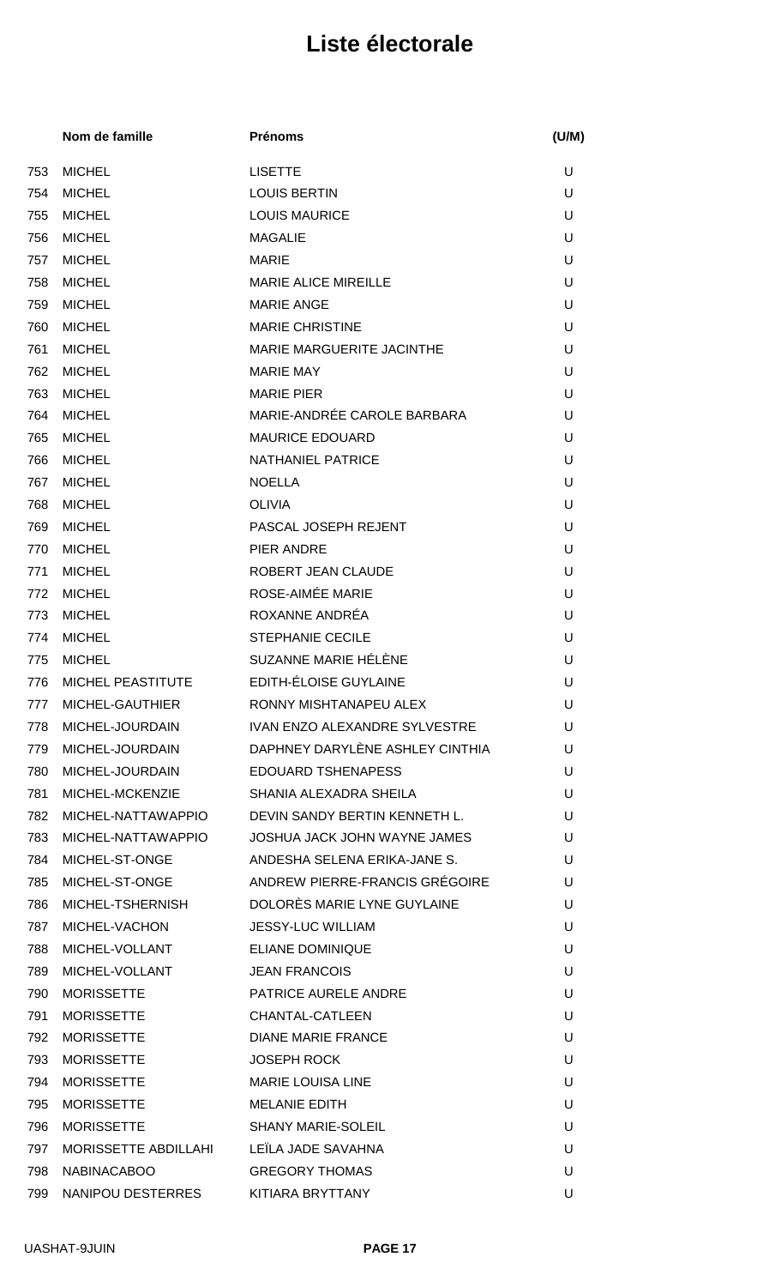|     | Nom de famille       | <b>Prénoms</b>                       | (U/M) |
|-----|----------------------|--------------------------------------|-------|
| 753 | <b>MICHEL</b>        | <b>LISETTE</b>                       | U     |
| 754 | <b>MICHEL</b>        | <b>LOUIS BERTIN</b>                  | U     |
| 755 | <b>MICHEL</b>        | <b>LOUIS MAURICE</b>                 | U     |
| 756 | <b>MICHEL</b>        | <b>MAGALIE</b>                       | U     |
| 757 | <b>MICHEL</b>        | <b>MARIE</b>                         | U     |
| 758 | <b>MICHEL</b>        | <b>MARIE ALICE MIREILLE</b>          | U     |
| 759 | <b>MICHEL</b>        | <b>MARIE ANGE</b>                    | U     |
| 760 | <b>MICHEL</b>        | <b>MARIE CHRISTINE</b>               | U     |
| 761 | <b>MICHEL</b>        | MARIE MARGUERITE JACINTHE            | U     |
| 762 | <b>MICHEL</b>        | <b>MARIE MAY</b>                     | U     |
| 763 | <b>MICHEL</b>        | <b>MARIE PIER</b>                    | U     |
| 764 | <b>MICHEL</b>        | MARIE-ANDRÉE CAROLE BARBARA          | U     |
| 765 | <b>MICHEL</b>        | <b>MAURICE EDOUARD</b>               | U     |
| 766 | <b>MICHEL</b>        | <b>NATHANIEL PATRICE</b>             | U     |
| 767 | <b>MICHEL</b>        | <b>NOELLA</b>                        | U     |
| 768 | <b>MICHEL</b>        | <b>OLIVIA</b>                        | U     |
| 769 | <b>MICHEL</b>        | PASCAL JOSEPH REJENT                 | U     |
| 770 | <b>MICHEL</b>        | PIER ANDRE                           | U     |
| 771 | <b>MICHEL</b>        | ROBERT JEAN CLAUDE                   | U     |
| 772 | <b>MICHEL</b>        | ROSE-AIMÉE MARIE                     | U     |
| 773 | <b>MICHEL</b>        | ROXANNE ANDRÉA                       | U     |
| 774 | <b>MICHEL</b>        | <b>STEPHANIE CECILE</b>              | U     |
| 775 | <b>MICHEL</b>        | SUZANNE MARIE HÉLÈNE                 | U     |
| 776 | MICHEL PEASTITUTE    | EDITH-ÉLOISE GUYLAINE                | U     |
| 777 | MICHEL-GAUTHIER      | RONNY MISHTANAPEU ALEX               | U     |
| 778 | MICHEL-JOURDAIN      | <b>IVAN ENZO ALEXANDRE SYLVESTRE</b> | U     |
| 779 | MICHEL-JOURDAIN      | DAPHNEY DARYLÈNE ASHLEY CINTHIA      | U     |
| 780 | MICHEL-JOURDAIN      | EDOUARD TSHENAPESS                   | U     |
| 781 | MICHEL-MCKENZIE      | SHANIA ALEXADRA SHEILA               | U     |
| 782 | MICHEL-NATTAWAPPIO   | DEVIN SANDY BERTIN KENNETH L.        | U     |
| 783 | MICHEL-NATTAWAPPIO   | JOSHUA JACK JOHN WAYNE JAMES         | U     |
| 784 | MICHEL-ST-ONGE       | ANDESHA SELENA ERIKA-JANE S.         | U     |
| 785 | MICHEL-ST-ONGE       | ANDREW PIERRE-FRANCIS GRÉGOIRE       | U     |
| 786 | MICHEL-TSHERNISH     | DOLORES MARIE LYNE GUYLAINE          | U     |
| 787 | MICHEL-VACHON        | <b>JESSY-LUC WILLIAM</b>             | U     |
| 788 | MICHEL-VOLLANT       | <b>ELIANE DOMINIQUE</b>              | U     |
| 789 | MICHEL-VOLLANT       | <b>JEAN FRANCOIS</b>                 | U     |
| 790 | <b>MORISSETTE</b>    | <b>PATRICE AURELE ANDRE</b>          | U     |
| 791 | <b>MORISSETTE</b>    | CHANTAL-CATLEEN                      | U     |
| 792 | <b>MORISSETTE</b>    | <b>DIANE MARIE FRANCE</b>            | U     |
| 793 | <b>MORISSETTE</b>    | <b>JOSEPH ROCK</b>                   | U     |
| 794 | <b>MORISSETTE</b>    | <b>MARIE LOUISA LINE</b>             | U     |
| 795 | <b>MORISSETTE</b>    | <b>MELANIE EDITH</b>                 | U     |
| 796 | <b>MORISSETTE</b>    | <b>SHANY MARIE-SOLEIL</b>            | U     |
| 797 | MORISSETTE ABDILLAHI | LEÎLA JADE SAVAHNA                   | U     |
| 798 | <b>NABINACABOO</b>   | <b>GREGORY THOMAS</b>                | U     |
| 799 | NANIPOU DESTERRES    | KITIARA BRYTTANY                     | U     |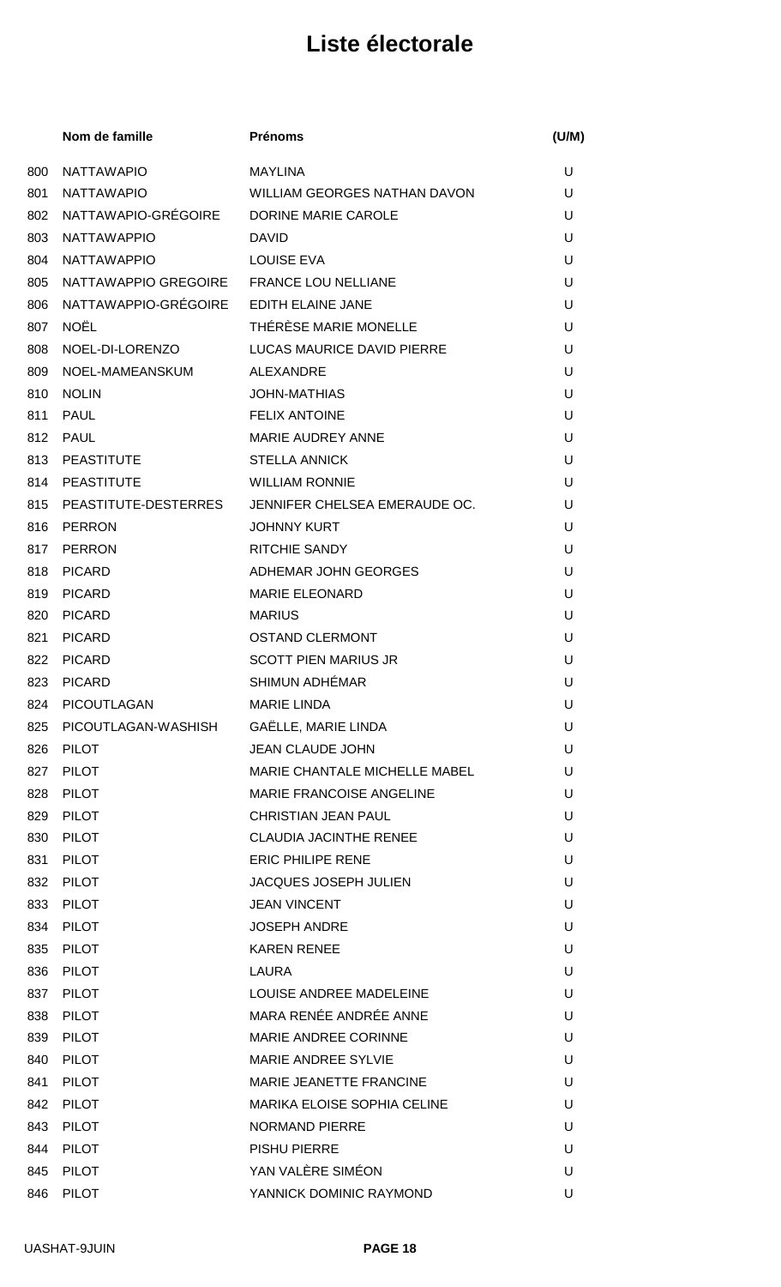|     | Nom de famille                           | <b>Prénoms</b>                      | (U/M) |
|-----|------------------------------------------|-------------------------------------|-------|
| 800 | <b>NATTAWAPIO</b>                        | <b>MAYLINA</b>                      | U     |
| 801 | <b>NATTAWAPIO</b>                        | <b>WILLIAM GEORGES NATHAN DAVON</b> | U     |
| 802 | NATTAWAPIO-GRÉGOIRE                      | DORINE MARIE CAROLE                 | U     |
| 803 | <b>NATTAWAPPIO</b>                       | <b>DAVID</b>                        | U     |
| 804 | <b>NATTAWAPPIO</b>                       | <b>LOUISE EVA</b>                   | U     |
| 805 | NATTAWAPPIO GREGOIRE FRANCE LOU NELLIANE |                                     | U     |
| 806 | NATTAWAPPIO-GRÉGOIRE EDITH ELAINE JANE   |                                     | U     |
| 807 | <b>NOËL</b>                              | THÉRÈSE MARIE MONELLE               | U     |
| 808 | NOEL-DI-LORENZO                          | LUCAS MAURICE DAVID PIERRE          | U     |
| 809 | NOEL-MAMEANSKUM                          | ALEXANDRE                           | U     |
| 810 | <b>NOLIN</b>                             | <b>JOHN-MATHIAS</b>                 | U     |
| 811 | PAUL                                     | <b>FELIX ANTOINE</b>                | U     |
| 812 | PAUL                                     | <b>MARIE AUDREY ANNE</b>            | U     |
| 813 | PEASTITUTE                               | <b>STELLA ANNICK</b>                | U     |
|     | 814 PEASTITUTE                           | <b>WILLIAM RONNIE</b>               | U     |
|     | 815 PEASTITUTE-DESTERRES                 | JENNIFER CHELSEA EMERAUDE OC.       | U     |
| 816 | PERRON                                   | <b>JOHNNY KURT</b>                  | U     |
| 817 | PERRON                                   | <b>RITCHIE SANDY</b>                | U     |
| 818 | <b>PICARD</b>                            | ADHEMAR JOHN GEORGES                | U     |
| 819 | <b>PICARD</b>                            | <b>MARIE ELEONARD</b>               | U     |
| 820 | <b>PICARD</b>                            | <b>MARIUS</b>                       | U     |
| 821 | <b>PICARD</b>                            | <b>OSTAND CLERMONT</b>              | U     |
| 822 | PICARD                                   | <b>SCOTT PIEN MARIUS JR</b>         | U     |
| 823 | <b>PICARD</b>                            | <b>SHIMUN ADHÉMAR</b>               | U     |
| 824 | PICOUTLAGAN                              | <b>MARIE LINDA</b>                  | U     |
| 825 | PICOUTLAGAN-WASHISH                      | GAËLLE, MARIE LINDA                 | U     |
| 826 | <b>PILOT</b>                             | <b>JEAN CLAUDE JOHN</b>             | U     |
| 827 | <b>PILOT</b>                             | MARIE CHANTALE MICHELLE MABEL       | U     |
| 828 | <b>PILOT</b>                             | MARIE FRANCOISE ANGELINE            | U     |
| 829 | <b>PILOT</b>                             | <b>CHRISTIAN JEAN PAUL</b>          | U     |
| 830 | PILOT                                    | CLAUDIA JACINTHE RENEE              | U     |
| 831 | <b>PILOT</b>                             | <b>ERIC PHILIPE RENE</b>            | U     |
|     | 832 PILOT                                | <b>JACQUES JOSEPH JULIEN</b>        | U     |
| 833 | <b>PILOT</b>                             | <b>JEAN VINCENT</b>                 | U     |
| 834 | PILOT                                    | <b>JOSEPH ANDRE</b>                 | U     |
| 835 | <b>PILOT</b>                             | <b>KAREN RENEE</b>                  | U     |
| 836 | PILOT                                    | <b>LAURA</b>                        | U     |
| 837 | PILOT                                    | LOUISE ANDREE MADELEINE             | U     |
| 838 | PILOT                                    | MARA RENÉE ANDRÉE ANNE              | U     |
| 839 | <b>PILOT</b>                             | <b>MARIE ANDREE CORINNE</b>         | U     |
| 840 | <b>PILOT</b>                             | <b>MARIE ANDREE SYLVIE</b>          | U     |
| 841 | <b>PILOT</b>                             | <b>MARIE JEANETTE FRANCINE</b>      | U     |
| 842 | <b>PILOT</b>                             | <b>MARIKA ELOISE SOPHIA CELINE</b>  | U     |
| 843 | PILOT                                    | <b>NORMAND PIERRE</b>               | U     |
| 844 | <b>PILOT</b>                             | <b>PISHU PIERRE</b>                 | U     |
| 845 | PILOT                                    | YAN VALÈRE SIMÉON                   | U     |
| 846 | <b>PILOT</b>                             | YANNICK DOMINIC RAYMOND             | U     |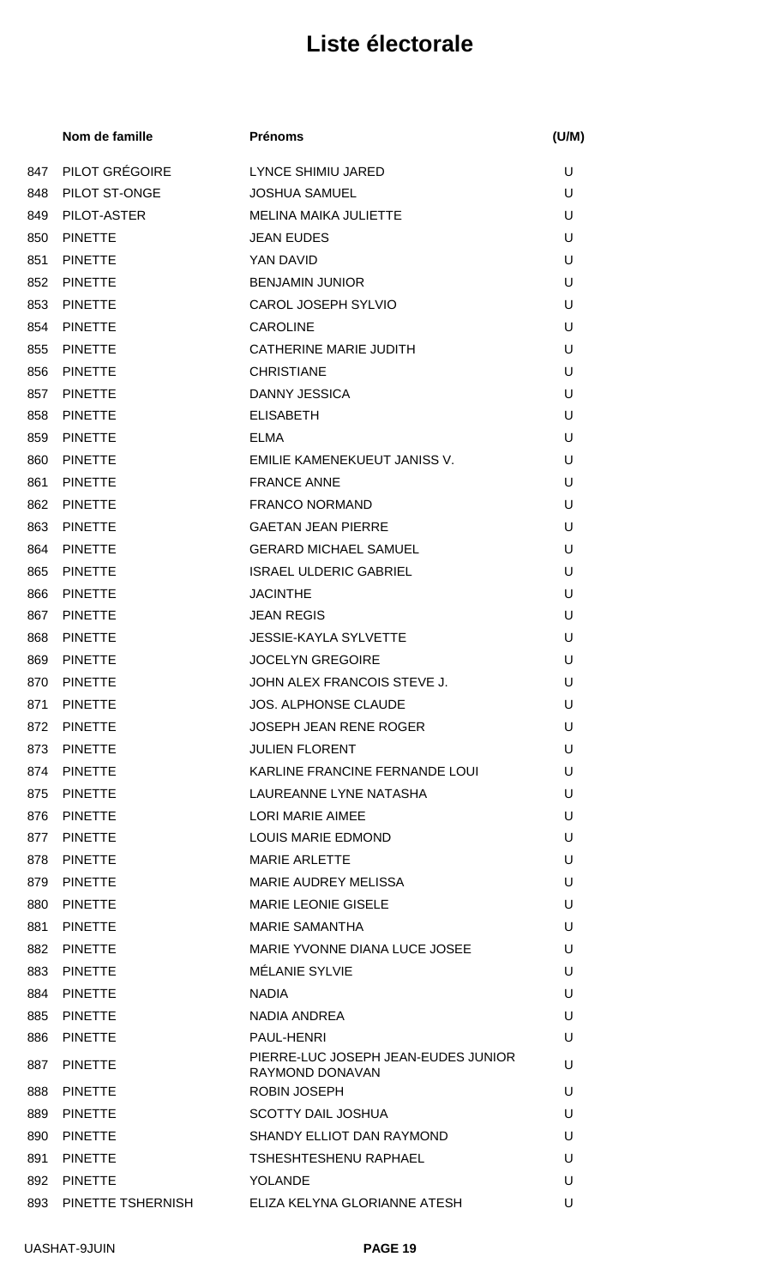|     | Nom de famille    | <b>Prénoms</b>                                         | (U/M) |
|-----|-------------------|--------------------------------------------------------|-------|
| 847 | PILOT GRÉGOIRE    | LYNCE SHIMIU JARED                                     | U     |
| 848 | PILOT ST-ONGE     | <b>JOSHUA SAMUEL</b>                                   | U     |
| 849 | PILOT-ASTER       | <b>MELINA MAIKA JULIETTE</b>                           | U     |
| 850 | <b>PINETTE</b>    | <b>JEAN EUDES</b>                                      | U     |
| 851 | <b>PINETTE</b>    | YAN DAVID                                              | U     |
| 852 | <b>PINETTE</b>    | <b>BENJAMIN JUNIOR</b>                                 | U     |
| 853 | <b>PINETTE</b>    | <b>CAROL JOSEPH SYLVIO</b>                             | U     |
| 854 | <b>PINETTE</b>    | <b>CAROLINE</b>                                        | U     |
| 855 | <b>PINETTE</b>    | CATHERINE MARIE JUDITH                                 | U     |
| 856 | <b>PINETTE</b>    | <b>CHRISTIANE</b>                                      | U     |
| 857 | <b>PINETTE</b>    | DANNY JESSICA                                          | U     |
| 858 | <b>PINETTE</b>    | <b>ELISABETH</b>                                       | U     |
| 859 | <b>PINETTE</b>    | <b>ELMA</b>                                            | U     |
| 860 | <b>PINETTE</b>    | EMILIE KAMENEKUEUT JANISS V.                           | U     |
| 861 | <b>PINETTE</b>    | <b>FRANCE ANNE</b>                                     | U     |
| 862 | <b>PINETTE</b>    | <b>FRANCO NORMAND</b>                                  | U     |
| 863 | <b>PINETTE</b>    | <b>GAETAN JEAN PIERRE</b>                              | U     |
| 864 | <b>PINETTE</b>    | <b>GERARD MICHAEL SAMUEL</b>                           | U     |
| 865 | <b>PINETTE</b>    | <b>ISRAEL ULDERIC GABRIEL</b>                          | U     |
| 866 | <b>PINETTE</b>    | <b>JACINTHE</b>                                        | U     |
| 867 | <b>PINETTE</b>    | <b>JEAN REGIS</b>                                      | U     |
| 868 | <b>PINETTE</b>    | <b>JESSIE-KAYLA SYLVETTE</b>                           | U     |
| 869 | <b>PINETTE</b>    | <b>JOCELYN GREGOIRE</b>                                | U     |
| 870 | <b>PINETTE</b>    | JOHN ALEX FRANCOIS STEVE J.                            | U     |
|     | 871 PINETTE       | JOS. ALPHONSE CLAUDE                                   | U     |
| 872 | <b>PINETTE</b>    | JOSEPH JEAN RENE ROGER                                 | U     |
| 873 | <b>PINETTE</b>    | <b>JULIEN FLORENT</b>                                  | U     |
| 874 | PINETTE           | KARLINE FRANCINE FERNANDE LOUI                         | U     |
| 875 | <b>PINETTE</b>    | LAUREANNE LYNE NATASHA                                 | U     |
| 876 | <b>PINETTE</b>    | <b>LORI MARIE AIMEE</b>                                | U     |
| 877 | <b>PINETTE</b>    | LOUIS MARIE EDMOND                                     | U     |
| 878 | <b>PINETTE</b>    | <b>MARIE ARLETTE</b>                                   | U     |
| 879 | PINETTE           | MARIE AUDREY MELISSA                                   | U     |
| 880 | PINETTE           | <b>MARIE LEONIE GISELE</b>                             | U     |
| 881 | PINETTE           | <b>MARIE SAMANTHA</b>                                  | U     |
| 882 | PINETTE           | MARIE YVONNE DIANA LUCE JOSEE                          | U     |
| 883 | <b>PINETTE</b>    | MÉLANIE SYLVIE                                         | U     |
| 884 | PINETTE           | <b>NADIA</b>                                           | U     |
| 885 | <b>PINETTE</b>    | NADIA ANDREA                                           | U     |
| 886 | <b>PINETTE</b>    | PAUL-HENRI                                             | U     |
| 887 | <b>PINETTE</b>    | PIERRE-LUC JOSEPH JEAN-EUDES JUNIOR<br>RAYMOND DONAVAN | U     |
| 888 | <b>PINETTE</b>    | <b>ROBIN JOSEPH</b>                                    | U     |
| 889 | <b>PINETTE</b>    | <b>SCOTTY DAIL JOSHUA</b>                              | U     |
| 890 | <b>PINETTE</b>    | SHANDY ELLIOT DAN RAYMOND                              | U     |
| 891 | <b>PINETTE</b>    | <b>TSHESHTESHENU RAPHAEL</b>                           | U     |
| 892 | PINETTE           | <b>YOLANDE</b>                                         | U     |
| 893 | PINETTE TSHERNISH | ELIZA KELYNA GLORIANNE ATESH                           | U     |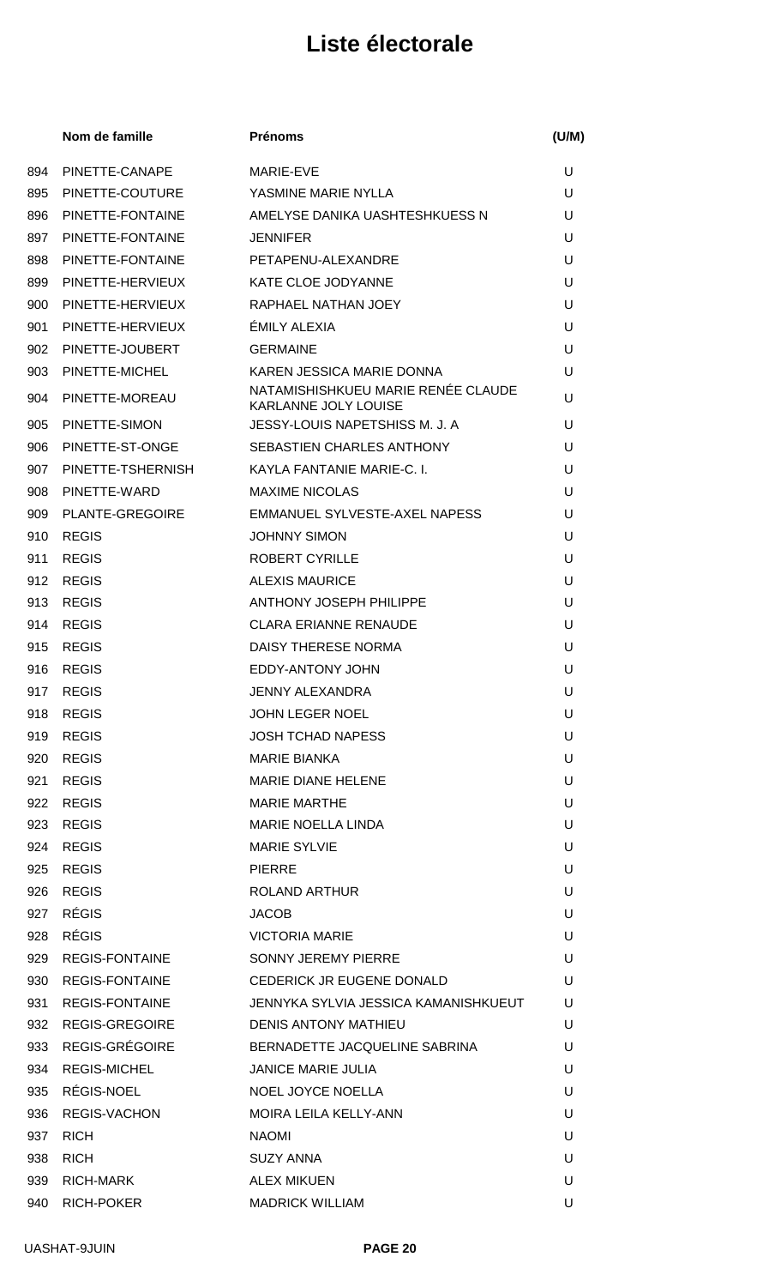|     | Nom de famille         | <b>Prénoms</b>                                                    | (U/M) |
|-----|------------------------|-------------------------------------------------------------------|-------|
| 894 | PINETTE-CANAPE         | MARIE-EVE                                                         | U     |
| 895 | PINETTE-COUTURE        | YASMINE MARIE NYLLA                                               | U     |
| 896 | PINETTE-FONTAINE       | AMELYSE DANIKA UASHTESHKUESS N                                    | U     |
| 897 | PINETTE-FONTAINE       | <b>JENNIFER</b>                                                   | U     |
| 898 | PINETTE-FONTAINE       | PETAPENU-ALEXANDRE                                                | U     |
| 899 | PINETTE-HERVIEUX       | <b>KATE CLOE JODYANNE</b>                                         | U     |
| 900 | PINETTE-HERVIEUX       | RAPHAEL NATHAN JOEY                                               | U     |
| 901 | PINETTE-HERVIEUX       | ÉMILY ALEXIA                                                      | U     |
| 902 | PINETTE-JOUBERT        | <b>GERMAINE</b>                                                   | U     |
| 903 | PINETTE-MICHEL         | KAREN JESSICA MARIE DONNA                                         | U     |
| 904 | PINETTE-MOREAU         | NATAMISHISHKUEU MARIE RENÉE CLAUDE<br><b>KARLANNE JOLY LOUISE</b> | U     |
| 905 | PINETTE-SIMON          | JESSY-LOUIS NAPETSHISS M. J. A                                    | U     |
| 906 | PINETTE-ST-ONGE        | SEBASTIEN CHARLES ANTHONY                                         | U     |
| 907 | PINETTE-TSHERNISH      | KAYLA FANTANIE MARIE-C. I.                                        | U     |
| 908 | PINETTE-WARD           | <b>MAXIME NICOLAS</b>                                             | U     |
| 909 | <b>PLANTE-GREGOIRE</b> | EMMANUEL SYLVESTE-AXEL NAPESS                                     | U     |
| 910 | <b>REGIS</b>           | <b>JOHNNY SIMON</b>                                               | U     |
| 911 | <b>REGIS</b>           | ROBERT CYRILLE                                                    | U     |
| 912 | <b>REGIS</b>           | <b>ALEXIS MAURICE</b>                                             | U     |
| 913 | <b>REGIS</b>           | ANTHONY JOSEPH PHILIPPE                                           | U     |
| 914 | <b>REGIS</b>           | <b>CLARA ERIANNE RENAUDE</b>                                      | U     |
| 915 | <b>REGIS</b>           | DAISY THERESE NORMA                                               | U     |
| 916 | <b>REGIS</b>           | EDDY-ANTONY JOHN                                                  | U     |
| 917 | <b>REGIS</b>           | <b>JENNY ALEXANDRA</b>                                            | U     |
| 918 | REGIS                  | <b>JOHN LEGER NOEL</b>                                            | U     |
| 919 | <b>REGIS</b>           | <b>JOSH TCHAD NAPESS</b>                                          | U     |
| 920 | REGIS                  | <b>MARIE BIANKA</b>                                               | U     |
| 921 | <b>REGIS</b>           | <b>MARIE DIANE HELENE</b>                                         | U     |
| 922 | <b>REGIS</b>           | <b>MARIE MARTHE</b>                                               | U     |
| 923 | <b>REGIS</b>           | <b>MARIE NOELLA LINDA</b>                                         | U     |
| 924 | <b>REGIS</b>           | <b>MARIE SYLVIE</b>                                               | U     |
| 925 | <b>REGIS</b>           | <b>PIERRE</b>                                                     | U     |
| 926 | REGIS                  | ROLAND ARTHUR                                                     | U     |
| 927 | <b>RÉGIS</b>           | <b>JACOB</b>                                                      | U     |
| 928 | RÉGIS                  | <b>VICTORIA MARIE</b>                                             | U     |
| 929 | <b>REGIS-FONTAINE</b>  | SONNY JEREMY PIERRE                                               | U     |
| 930 | <b>REGIS-FONTAINE</b>  | CEDERICK JR EUGENE DONALD                                         | U     |
| 931 | REGIS-FONTAINE         | JENNYKA SYLVIA JESSICA KAMANISHKUEUT                              | U     |
| 932 | REGIS-GREGOIRE         | <b>DENIS ANTONY MATHIEU</b>                                       | U     |
| 933 | REGIS-GRÉGOIRE         | BERNADETTE JACQUELINE SABRINA                                     | U     |
| 934 | <b>REGIS-MICHEL</b>    | <b>JANICE MARIE JULIA</b>                                         | U     |
| 935 | RÉGIS-NOEL             | NOEL JOYCE NOELLA                                                 | U     |
| 936 | <b>REGIS-VACHON</b>    | <b>MOIRA LEILA KELLY-ANN</b>                                      | U     |
| 937 | RICH                   | <b>NAOMI</b>                                                      | U     |
| 938 | RICH                   | <b>SUZY ANNA</b>                                                  | U     |
| 939 | RICH-MARK              | <b>ALEX MIKUEN</b>                                                | U     |
| 940 | RICH-POKER             | <b>MADRICK WILLIAM</b>                                            | U     |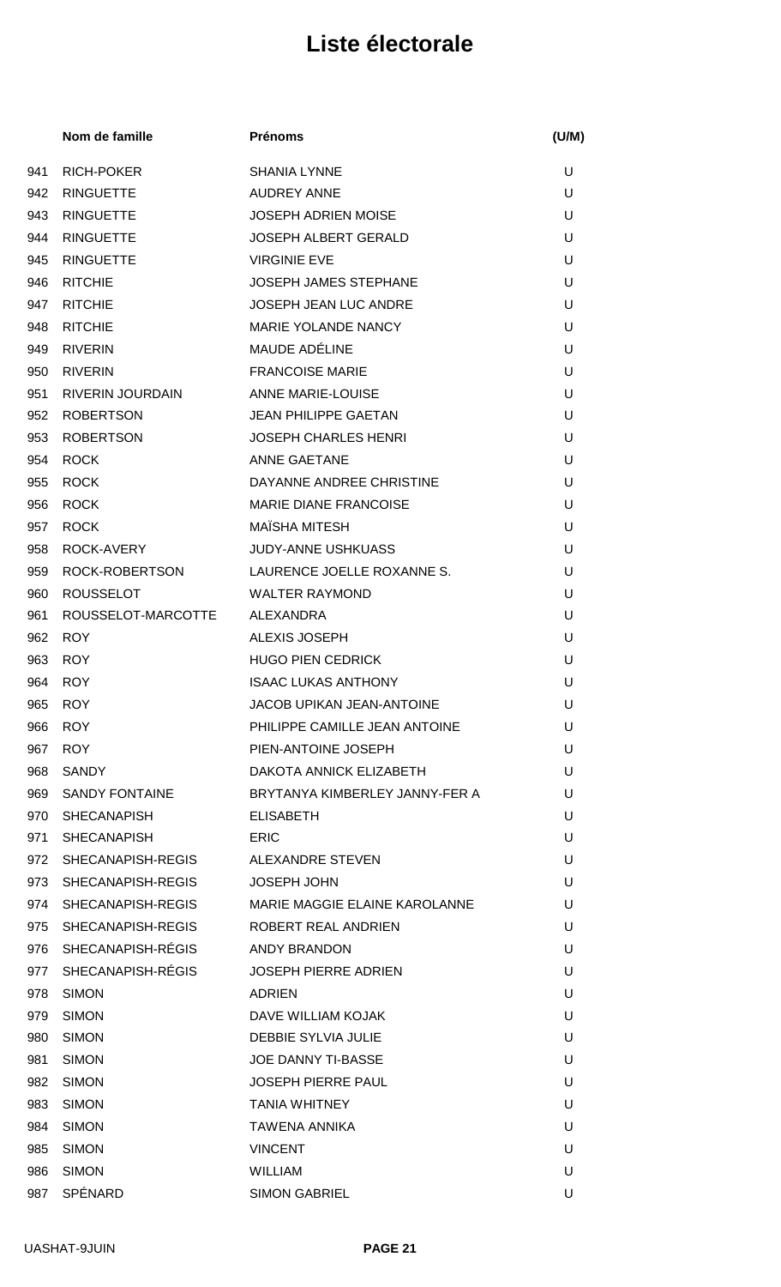|     | Nom de famille          | <b>Prénoms</b>                 | (U/M) |
|-----|-------------------------|--------------------------------|-------|
| 941 | <b>RICH-POKER</b>       | <b>SHANIA LYNNE</b>            | U     |
| 942 | <b>RINGUETTE</b>        | <b>AUDREY ANNE</b>             | U     |
| 943 | <b>RINGUETTE</b>        | <b>JOSEPH ADRIEN MOISE</b>     | U     |
| 944 | <b>RINGUETTE</b>        | <b>JOSEPH ALBERT GERALD</b>    | U     |
| 945 | <b>RINGUETTE</b>        | <b>VIRGINIE EVE</b>            | U     |
| 946 | <b>RITCHIE</b>          | JOSEPH JAMES STEPHANE          | U     |
| 947 | <b>RITCHIE</b>          | JOSEPH JEAN LUC ANDRE          | U     |
| 948 | <b>RITCHIE</b>          | <b>MARIE YOLANDE NANCY</b>     | U     |
| 949 | <b>RIVERIN</b>          | <b>MAUDE ADÉLINE</b>           | U     |
| 950 | <b>RIVERIN</b>          | <b>FRANCOISE MARIE</b>         | U     |
| 951 | <b>RIVERIN JOURDAIN</b> | <b>ANNE MARIE-LOUISE</b>       | U     |
| 952 | <b>ROBERTSON</b>        | <b>JEAN PHILIPPE GAETAN</b>    | U     |
| 953 | <b>ROBERTSON</b>        | <b>JOSEPH CHARLES HENRI</b>    | U     |
| 954 | <b>ROCK</b>             | <b>ANNE GAETANE</b>            | U     |
| 955 | <b>ROCK</b>             | DAYANNE ANDREE CHRISTINE       | U     |
| 956 | <b>ROCK</b>             | <b>MARIE DIANE FRANCOISE</b>   | U     |
| 957 | <b>ROCK</b>             | <b>MAÏSHA MITESH</b>           | U     |
| 958 | ROCK-AVERY              | <b>JUDY-ANNE USHKUASS</b>      | U     |
| 959 | ROCK-ROBERTSON          | LAURENCE JOELLE ROXANNE S.     | U     |
| 960 | <b>ROUSSELOT</b>        | <b>WALTER RAYMOND</b>          | U     |
| 961 | ROUSSELOT-MARCOTTE      | ALEXANDRA                      | U     |
| 962 | <b>ROY</b>              | <b>ALEXIS JOSEPH</b>           | U     |
| 963 | <b>ROY</b>              | <b>HUGO PIEN CEDRICK</b>       | U     |
| 964 | <b>ROY</b>              | <b>ISAAC LUKAS ANTHONY</b>     | U     |
|     | 965 ROY                 | JACOB UPIKAN JEAN-ANTOINE      | U     |
| 966 | <b>ROY</b>              | PHILIPPE CAMILLE JEAN ANTOINE  | U     |
| 967 | <b>ROY</b>              | PIEN-ANTOINE JOSEPH            | U     |
| 968 | <b>SANDY</b>            | DAKOTA ANNICK ELIZABETH        | U     |
| 969 | SANDY FONTAINE          | BRYTANYA KIMBERLEY JANNY-FER A | U     |
| 970 | <b>SHECANAPISH</b>      | <b>ELISABETH</b>               | U     |
| 971 | <b>SHECANAPISH</b>      | ERIC                           | U     |
| 972 | SHECANAPISH-REGIS       | ALEXANDRE STEVEN               | U     |
|     | 973 SHECANAPISH-REGIS   | <b>JOSEPH JOHN</b>             | U     |
|     | 974 SHECANAPISH-REGIS   | MARIE MAGGIE ELAINE KAROLANNE  | U     |
| 975 | SHECANAPISH-REGIS       | ROBERT REAL ANDRIEN            | U     |
|     | 976 SHECANAPISH-RÉGIS   | ANDY BRANDON                   | U     |
| 977 | SHECANAPISH-RÉGIS       | <b>JOSEPH PIERRE ADRIEN</b>    | U     |
| 978 | <b>SIMON</b>            | <b>ADRIEN</b>                  | U     |
| 979 | <b>SIMON</b>            | DAVE WILLIAM KOJAK             | U     |
| 980 | <b>SIMON</b>            | <b>DEBBIE SYLVIA JULIE</b>     | U     |
| 981 | <b>SIMON</b>            | <b>JOE DANNY TI-BASSE</b>      | U     |
| 982 | <b>SIMON</b>            | <b>JOSEPH PIERRE PAUL</b>      | U     |
| 983 | <b>SIMON</b>            | <b>TANIA WHITNEY</b>           | U     |
| 984 | <b>SIMON</b>            | <b>TAWENA ANNIKA</b>           | U     |
| 985 | <b>SIMON</b>            | <b>VINCENT</b>                 | U     |
| 986 | <b>SIMON</b>            | <b>WILLIAM</b>                 | U     |
| 987 | SPÉNARD                 | <b>SIMON GABRIEL</b>           | U     |
|     |                         |                                |       |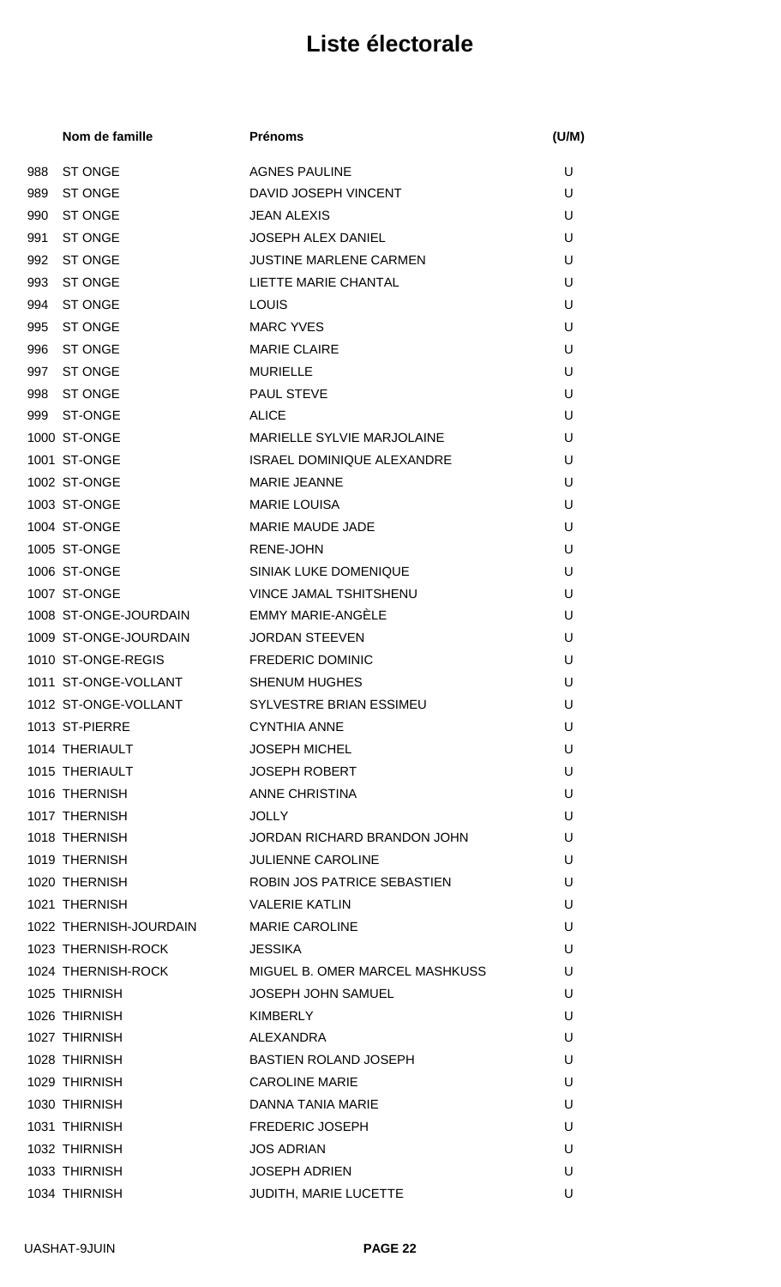|     | Nom de famille         | <b>Prénoms</b>                    | (U/M) |
|-----|------------------------|-----------------------------------|-------|
| 988 | <b>ST ONGE</b>         | <b>AGNES PAULINE</b>              | U     |
| 989 | <b>ST ONGE</b>         | DAVID JOSEPH VINCENT              | U     |
| 990 | <b>ST ONGE</b>         | <b>JEAN ALEXIS</b>                | U     |
| 991 | <b>ST ONGE</b>         | <b>JOSEPH ALEX DANIEL</b>         | U     |
| 992 | ST ONGE                | <b>JUSTINE MARLENE CARMEN</b>     | U     |
| 993 | <b>ST ONGE</b>         | LIETTE MARIE CHANTAL              | U     |
| 994 | <b>ST ONGE</b>         | LOUIS                             | U     |
| 995 | <b>ST ONGE</b>         | <b>MARC YVES</b>                  | U     |
| 996 | <b>ST ONGE</b>         | <b>MARIE CLAIRE</b>               | U     |
| 997 | <b>ST ONGE</b>         | <b>MURIELLE</b>                   | U     |
| 998 | ST ONGE                | <b>PAUL STEVE</b>                 | U     |
| 999 | ST-ONGE                | <b>ALICE</b>                      | U     |
|     | 1000 ST-ONGE           | <b>MARIELLE SYLVIE MARJOLAINE</b> | U     |
|     | 1001 ST-ONGE           | <b>ISRAEL DOMINIQUE ALEXANDRE</b> | U     |
|     | 1002 ST-ONGE           | <b>MARIE JEANNE</b>               | U     |
|     | 1003 ST-ONGE           | <b>MARIE LOUISA</b>               | U     |
|     | 1004 ST-ONGE           | <b>MARIE MAUDE JADE</b>           | U     |
|     | 1005 ST-ONGE           | <b>RENE-JOHN</b>                  | U     |
|     | 1006 ST-ONGE           | SINIAK LUKE DOMENIQUE             | U     |
|     | 1007 ST-ONGE           | VINCE JAMAL TSHITSHENU            | U     |
|     | 1008 ST-ONGE-JOURDAIN  | <b>EMMY MARIE-ANGÈLE</b>          | U     |
|     | 1009 ST-ONGE-JOURDAIN  | <b>JORDAN STEEVEN</b>             | U     |
|     | 1010 ST-ONGE-REGIS     | <b>FREDERIC DOMINIC</b>           | U     |
|     | 1011 ST-ONGE-VOLLANT   | <b>SHENUM HUGHES</b>              | U     |
|     | 1012 ST-ONGE-VOLLANT   | SYLVESTRE BRIAN ESSIMEU           | U     |
|     | 1013 ST-PIERRE         | <b>CYNTHIA ANNE</b>               | U     |
|     | 1014 THERIAULT         | <b>JOSEPH MICHEL</b>              | U     |
|     | 1015 THERIAULT         | <b>JOSEPH ROBERT</b>              | U     |
|     | 1016 THERNISH          | ANNE CHRISTINA                    | U     |
|     | 1017 THERNISH          | <b>JOLLY</b>                      | U     |
|     | 1018 THERNISH          | JORDAN RICHARD BRANDON JOHN       | U     |
|     | 1019 THERNISH          | <b>JULIENNE CAROLINE</b>          | U     |
|     | 1020 THERNISH          | ROBIN JOS PATRICE SEBASTIEN       | U     |
|     | 1021 THERNISH          | <b>VALERIE KATLIN</b>             | U     |
|     | 1022 THERNISH-JOURDAIN | <b>MARIE CAROLINE</b>             | U     |
|     | 1023 THERNISH-ROCK     | <b>JESSIKA</b>                    | U     |
|     | 1024 THERNISH-ROCK     | MIGUEL B. OMER MARCEL MASHKUSS    | U     |
|     | 1025 THIRNISH          | <b>JOSEPH JOHN SAMUEL</b>         | U     |
|     | 1026 THIRNISH          | <b>KIMBERLY</b>                   | U     |
|     | 1027 THIRNISH          | ALEXANDRA                         | U     |
|     | 1028 THIRNISH          | <b>BASTIEN ROLAND JOSEPH</b>      | U     |
|     | 1029 THIRNISH          | <b>CAROLINE MARIE</b>             | U     |
|     | 1030 THIRNISH          | DANNA TANIA MARIE                 | U     |
|     | 1031 THIRNISH          | <b>FREDERIC JOSEPH</b>            | U     |
|     | 1032 THIRNISH          | <b>JOS ADRIAN</b>                 | U     |
|     | 1033 THIRNISH          | <b>JOSEPH ADRIEN</b>              | U     |
|     | 1034 THIRNISH          | JUDITH, MARIE LUCETTE             | U     |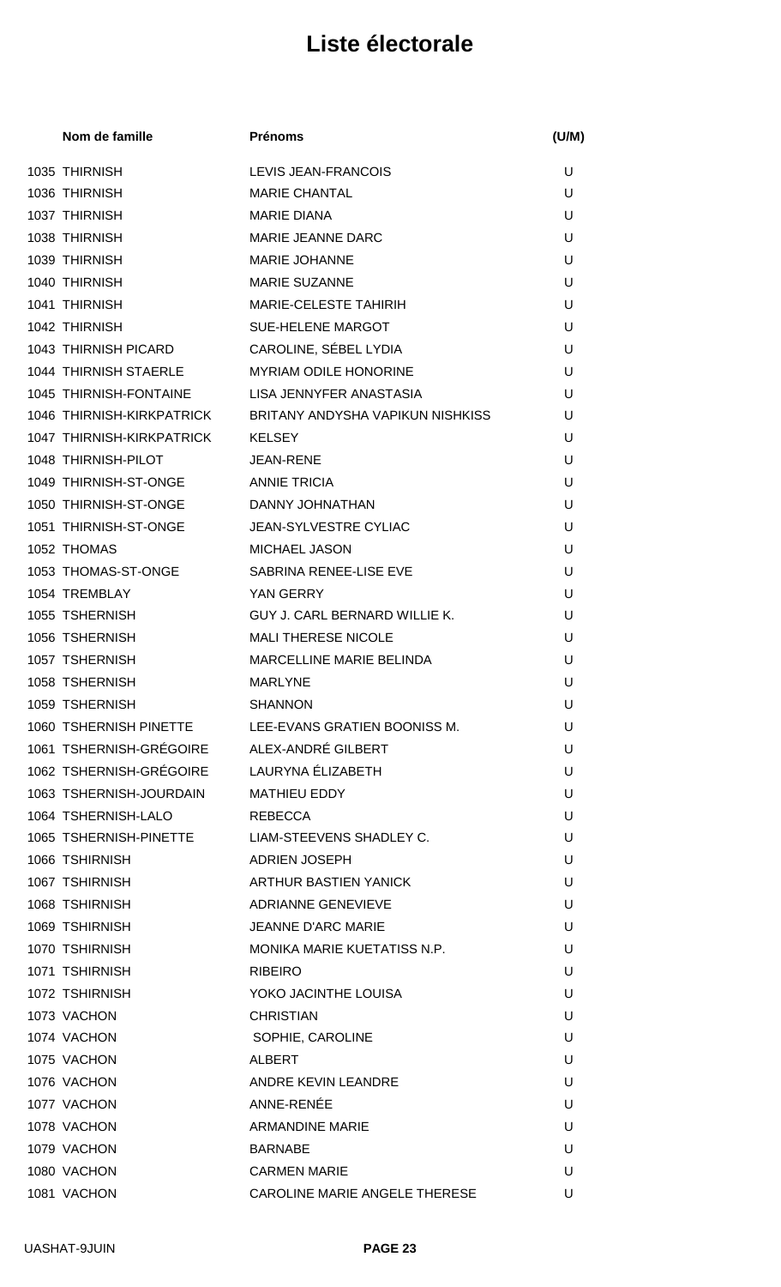| Nom de famille                             | <b>Prénoms</b>                                  | (U/M) |
|--------------------------------------------|-------------------------------------------------|-------|
| 1035 THIRNISH                              | LEVIS JEAN-FRANCOIS                             | U     |
| 1036 THIRNISH                              | <b>MARIE CHANTAL</b>                            | U     |
| 1037 THIRNISH                              | <b>MARIE DIANA</b>                              | U     |
| 1038 THIRNISH                              | MARIE JEANNE DARC                               | U     |
| 1039 THIRNISH                              | <b>MARIE JOHANNE</b>                            | U     |
| 1040 THIRNISH                              | <b>MARIE SUZANNE</b>                            | U     |
| 1041 THIRNISH                              | <b>MARIE-CELESTE TAHIRIH</b>                    | U     |
| 1042 THIRNISH                              | <b>SUE-HELENE MARGOT</b>                        | U     |
| 1043 THIRNISH PICARD                       | CAROLINE, SÉBEL LYDIA                           | U     |
| 1044 THIRNISH STAERLE                      | <b>MYRIAM ODILE HONORINE</b>                    | U     |
| 1045 THIRNISH-FONTAINE                     | LISA JENNYFER ANASTASIA                         | U     |
| 1046 THIRNISH-KIRKPATRICK                  | BRITANY ANDYSHA VAPIKUN NISHKISS                | U     |
| 1047 THIRNISH-KIRKPATRICK                  | <b>KELSEY</b>                                   | U     |
| 1048 THIRNISH-PILOT                        | <b>JEAN-RENE</b>                                | U     |
| 1049 THIRNISH-ST-ONGE                      | <b>ANNIE TRICIA</b>                             | U     |
| 1050 THIRNISH-ST-ONGE                      | DANNY JOHNATHAN                                 | U     |
| 1051 THIRNISH-ST-ONGE                      | JEAN-SYLVESTRE CYLIAC                           | U     |
| 1052 THOMAS                                | <b>MICHAEL JASON</b>                            | U     |
| 1053 THOMAS-ST-ONGE                        | SABRINA RENEE-LISE EVE                          | U     |
| 1054 TREMBLAY                              | YAN GERRY                                       | U     |
| 1055 TSHERNISH                             | GUY J. CARL BERNARD WILLIE K.                   | U     |
| 1056 TSHERNISH                             | <b>MALI THERESE NICOLE</b>                      | U     |
| 1057 TSHERNISH                             | MARCELLINE MARIE BELINDA                        | U     |
| 1058 TSHERNISH                             | <b>MARLYNE</b>                                  | U     |
| 1059 TSHERNISH                             | <b>SHANNON</b>                                  | U     |
| 1060 TSHERNISH PINETTE                     | LEE-EVANS GRATIEN BOONISS M.                    | U     |
| 1061 TSHERNISH-GRÉGOIRE ALEX-ANDRÉ GILBERT |                                                 | U     |
| 1062 TSHERNISH-GRÉGOIRE LAURYNA ÉLIZABETH  |                                                 | U     |
| 1063 TSHERNISH-JOURDAIN                    | <b>MATHIEU EDDY</b>                             | U     |
| 1064 TSHERNISH-LALO                        | REBECCA                                         | U     |
|                                            | 1065 TSHERNISH-PINETTE LIAM-STEEVENS SHADLEY C. | U     |
| 1066 TSHIRNISH                             | ADRIEN JOSEPH                                   | U     |
| 1067 TSHIRNISH                             | ARTHUR BASTIEN YANICK                           | U     |
| 1068 TSHIRNISH                             | <b>ADRIANNE GENEVIEVE</b>                       | U     |
| 1069 TSHIRNISH                             | <b>JEANNE D'ARC MARIE</b>                       | U     |
| 1070 TSHIRNISH                             | MONIKA MARIE KUETATISS N.P.                     | U     |
| 1071 TSHIRNISH                             | <b>RIBEIRO</b>                                  | U     |
| 1072 TSHIRNISH                             | YOKO JACINTHE LOUISA                            | U     |
| 1073 VACHON                                | <b>CHRISTIAN</b>                                | U     |
| 1074 VACHON                                | SOPHIE, CAROLINE                                | U     |
| 1075 VACHON                                | <b>ALBERT</b>                                   | U     |
| 1076 VACHON                                | ANDRE KEVIN LEANDRE                             | U     |
| 1077 VACHON                                | ANNE-RENÉE                                      | U     |
| 1078 VACHON                                | <b>ARMANDINE MARIE</b>                          | U     |
| 1079 VACHON                                | <b>BARNABE</b>                                  | U     |
| 1080 VACHON                                | <b>CARMEN MARIE</b>                             | U     |
| 1081 VACHON                                | CAROLINE MARIE ANGELE THERESE                   | U     |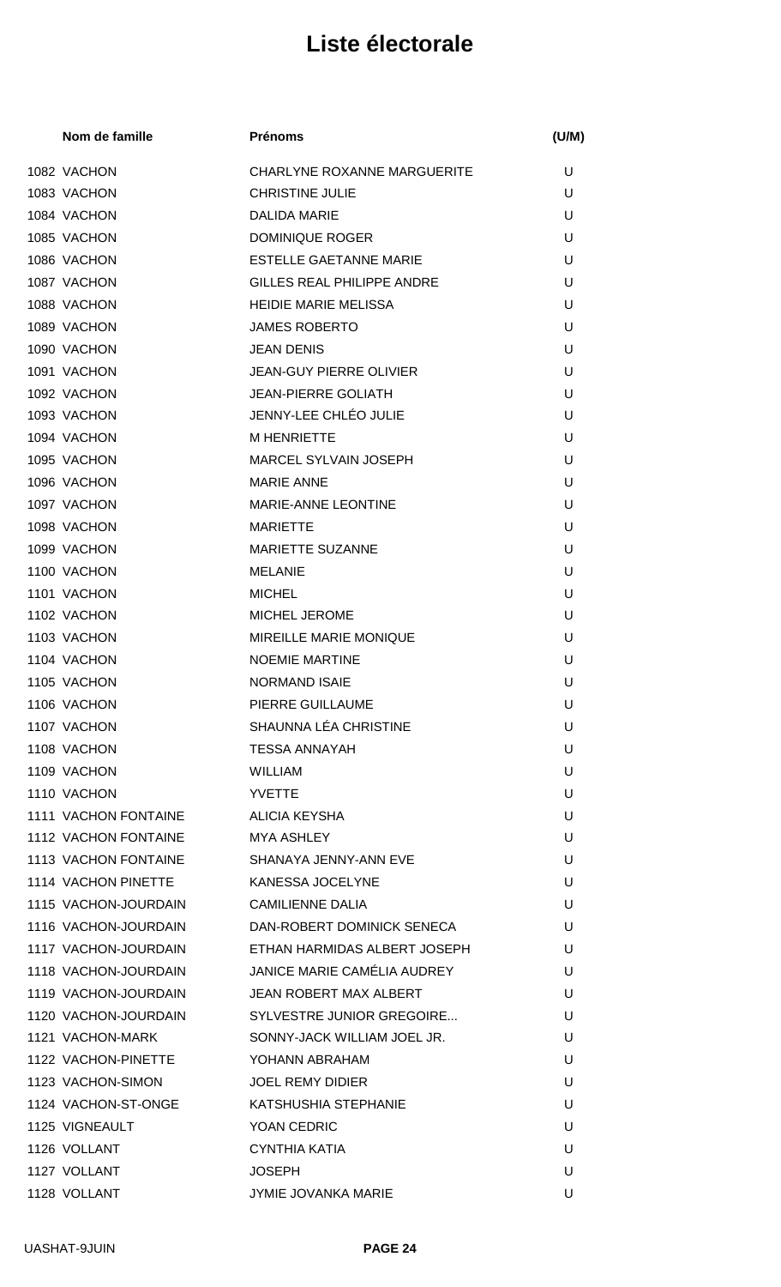| Nom de famille       | <b>Prénoms</b>                     | (U/M) |
|----------------------|------------------------------------|-------|
| 1082 VACHON          | <b>CHARLYNE ROXANNE MARGUERITE</b> | U     |
| 1083 VACHON          | <b>CHRISTINE JULIE</b>             | U     |
| 1084 VACHON          | <b>DALIDA MARIE</b>                | U     |
| 1085 VACHON          | <b>DOMINIQUE ROGER</b>             | U     |
| 1086 VACHON          | <b>ESTELLE GAETANNE MARIE</b>      | U     |
| 1087 VACHON          | <b>GILLES REAL PHILIPPE ANDRE</b>  | U     |
| 1088 VACHON          | <b>HEIDIE MARIE MELISSA</b>        | U     |
| 1089 VACHON          | <b>JAMES ROBERTO</b>               | U     |
| 1090 VACHON          | <b>JEAN DENIS</b>                  | U     |
| 1091 VACHON          | <b>JEAN-GUY PIERRE OLIVIER</b>     | U     |
| 1092 VACHON          | <b>JEAN-PIERRE GOLIATH</b>         | U     |
| 1093 VACHON          | JENNY-LEE CHLÉO JULIE              | U     |
| 1094 VACHON          | <b>M HENRIETTE</b>                 | U     |
| 1095 VACHON          | <b>MARCEL SYLVAIN JOSEPH</b>       | U     |
| 1096 VACHON          | <b>MARIE ANNE</b>                  | U     |
| 1097 VACHON          | <b>MARIE-ANNE LEONTINE</b>         | U     |
| 1098 VACHON          | <b>MARIETTE</b>                    | U     |
| 1099 VACHON          | MARIETTE SUZANNE                   | U     |
| 1100 VACHON          | <b>MELANIE</b>                     | U     |
| 1101 VACHON          | <b>MICHEL</b>                      | U     |
| 1102 VACHON          | <b>MICHEL JEROME</b>               | U     |
| 1103 VACHON          | <b>MIREILLE MARIE MONIQUE</b>      | U     |
| 1104 VACHON          | <b>NOEMIE MARTINE</b>              | U     |
| 1105 VACHON          | <b>NORMAND ISAIE</b>               | U     |
| 1106 VACHON          | <b>PIERRE GUILLAUME</b>            | U     |
| 1107 VACHON          | SHAUNNA LÉA CHRISTINE              | U     |
| 1108 VACHON          | <b>TESSA ANNAYAH</b>               | U     |
| 1109 VACHON          | <b>WILLIAM</b>                     | U     |
| 1110 VACHON          | <b>YVETTE</b>                      | U     |
| 1111 VACHON FONTAINE | ALICIA KEYSHA                      | U     |
| 1112 VACHON FONTAINE | <b>MYA ASHLEY</b>                  | U     |
| 1113 VACHON FONTAINE | SHANAYA JENNY-ANN EVE              | U     |
| 1114 VACHON PINETTE  | <b>KANESSA JOCELYNE</b>            | U     |
| 1115 VACHON-JOURDAIN | <b>CAMILIENNE DALIA</b>            | U     |
| 1116 VACHON-JOURDAIN | DAN-ROBERT DOMINICK SENECA         | U     |
| 1117 VACHON-JOURDAIN | ETHAN HARMIDAS ALBERT JOSEPH       | U     |
| 1118 VACHON-JOURDAIN | JANICE MARIE CAMÉLIA AUDREY        | U     |
| 1119 VACHON-JOURDAIN | <b>JEAN ROBERT MAX ALBERT</b>      | U     |
| 1120 VACHON-JOURDAIN | SYLVESTRE JUNIOR GREGOIRE          | U     |
| 1121 VACHON-MARK     | SONNY-JACK WILLIAM JOEL JR.        | U     |
| 1122 VACHON-PINETTE  | YOHANN ABRAHAM                     | U     |
| 1123 VACHON-SIMON    | <b>JOEL REMY DIDIER</b>            | U     |
| 1124 VACHON-ST-ONGE  | KATSHUSHIA STEPHANIE               | U     |
| 1125 VIGNEAULT       | YOAN CEDRIC                        | U     |
| 1126 VOLLANT         | CYNTHIA KATIA                      | U     |
| 1127 VOLLANT         | <b>JOSEPH</b>                      | U     |
| 1128 VOLLANT         | JYMIE JOVANKA MARIE                | U     |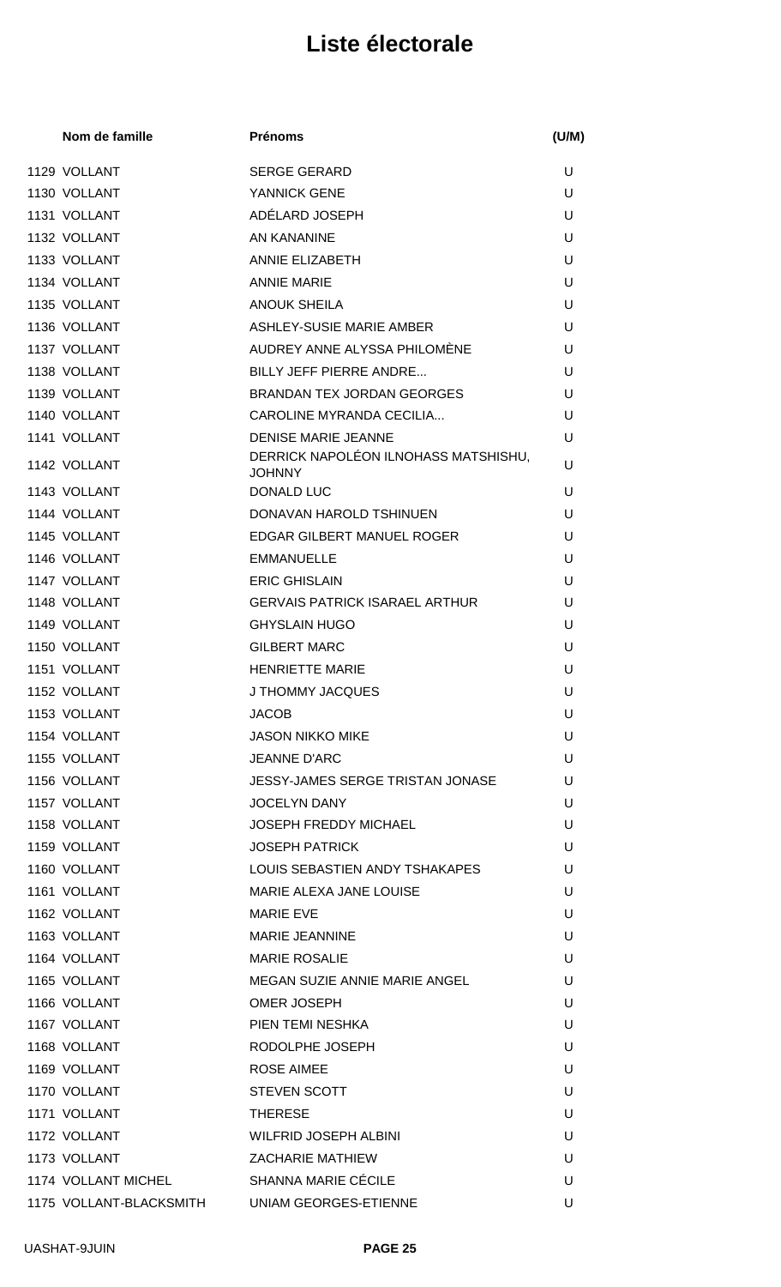| Nom de famille      | <b>Prénoms</b>                                        | (U/M) |
|---------------------|-------------------------------------------------------|-------|
| 1129 VOLLANT        | <b>SERGE GERARD</b>                                   | U     |
| 1130 VOLLANT        | YANNICK GENE                                          | U     |
| 1131 VOLLANT        | ADÉLARD JOSEPH                                        | U     |
| 1132 VOLLANT        | AN KANANINE                                           | U     |
| 1133 VOLLANT        | ANNIE ELIZABETH                                       | U     |
| 1134 VOLLANT        | <b>ANNIE MARIE</b>                                    | U     |
| 1135 VOLLANT        | <b>ANOUK SHEILA</b>                                   | U     |
| 1136 VOLLANT        | ASHLEY-SUSIE MARIE AMBER                              | U     |
| 1137 VOLLANT        | AUDREY ANNE ALYSSA PHILOMÈNE                          | U     |
| 1138 VOLLANT        | <b>BILLY JEFF PIERRE ANDRE</b>                        | U     |
| 1139 VOLLANT        | BRANDAN TEX JORDAN GEORGES                            | U     |
| 1140 VOLLANT        | CAROLINE MYRANDA CECILIA                              | U     |
| 1141 VOLLANT        | <b>DENISE MARIE JEANNE</b>                            | U     |
| 1142 VOLLANT        | DERRICK NAPOLÉON ILNOHASS MATSHISHU,<br><b>JOHNNY</b> | U     |
| 1143 VOLLANT        | DONALD LUC                                            | U     |
| 1144 VOLLANT        | DONAVAN HAROLD TSHINUEN                               | U     |
| 1145 VOLLANT        | EDGAR GILBERT MANUEL ROGER                            | U     |
| 1146 VOLLANT        | <b>EMMANUELLE</b>                                     | U     |
| 1147 VOLLANT        | <b>ERIC GHISLAIN</b>                                  | U     |
| 1148 VOLLANT        | <b>GERVAIS PATRICK ISARAEL ARTHUR</b>                 | U     |
| 1149 VOLLANT        | <b>GHYSLAIN HUGO</b>                                  | U     |
| 1150 VOLLANT        | <b>GILBERT MARC</b>                                   | U     |
| 1151 VOLLANT        | <b>HENRIETTE MARIE</b>                                | U     |
| 1152 VOLLANT        | J THOMMY JACQUES                                      | U     |
| 1153 VOLLANT        | <b>JACOB</b>                                          | U     |
| 1154 VOLLANT        | <b>JASON NIKKO MIKE</b>                               | U     |
| 1155 VOLLANT        | <b>JEANNE D'ARC</b>                                   | U     |
| 1156 VOLLANT        | JESSY-JAMES SERGE TRISTAN JONASE                      | U     |
| 1157 VOLLANT        | <b>JOCELYN DANY</b>                                   | U     |
| 1158 VOLLANT        | <b>JOSEPH FREDDY MICHAEL</b>                          | U     |
| 1159 VOLLANT        | <b>JOSEPH PATRICK</b>                                 | U     |
| 1160 VOLLANT        | LOUIS SEBASTIEN ANDY TSHAKAPES                        | U     |
| 1161 VOLLANT        | MARIE ALEXA JANE LOUISE                               | U     |
| 1162 VOLLANT        | <b>MARIE EVE</b>                                      | U     |
| 1163 VOLLANT        | <b>MARIE JEANNINE</b>                                 | U     |
| 1164 VOLLANT        | <b>MARIE ROSALIE</b>                                  | U     |
| 1165 VOLLANT        | MEGAN SUZIE ANNIE MARIE ANGEL                         | U     |
| 1166 VOLLANT        | <b>OMER JOSEPH</b>                                    | U     |
| 1167 VOLLANT        | PIEN TEMI NESHKA                                      | U     |
| 1168 VOLLANT        | RODOLPHE JOSEPH                                       | U     |
| 1169 VOLLANT        | <b>ROSE AIMEE</b>                                     | U     |
| 1170 VOLLANT        | <b>STEVEN SCOTT</b>                                   | U     |
| 1171 VOLLANT        | <b>THERESE</b>                                        | U     |
| 1172 VOLLANT        | <b>WILFRID JOSEPH ALBINI</b>                          | U     |
| 1173 VOLLANT        | <b>ZACHARIE MATHIEW</b>                               | U     |
| 1174 VOLLANT MICHEL | SHANNA MARIE CÉCILE                                   | U     |
|                     | 1175 VOLLANT-BLACKSMITH UNIAM GEORGES-ETIENNE         | U     |